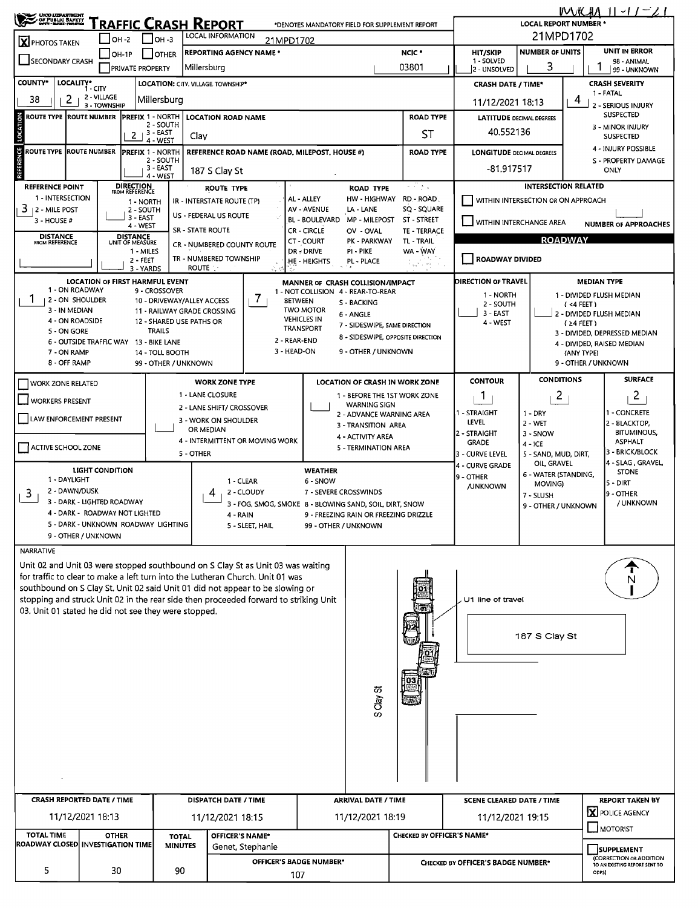| ORO UZPANTHENT                                                                                                                                                        |                                                              |                                    |                                   | RAFFIC CRASH REPORT                                       |                                                        |                                       | *DENOTES MANDATORY FIELD FOR SUPPLEMENT REPORT                         |                                                      |                                                                         |                                     | ハハバンボハ                                  | 11 - 17                                                     |  |  |
|-----------------------------------------------------------------------------------------------------------------------------------------------------------------------|--------------------------------------------------------------|------------------------------------|-----------------------------------|-----------------------------------------------------------|--------------------------------------------------------|---------------------------------------|------------------------------------------------------------------------|------------------------------------------------------|-------------------------------------------------------------------------|-------------------------------------|-----------------------------------------|-------------------------------------------------------------|--|--|
| X PHOTOS TAKEN                                                                                                                                                        | OH -2                                                        |                                    | I он -з                           | LOCAL INFORMATION                                         | 21MPD1702                                              |                                       | <b>LOCAL REPORT NUMBER *</b><br>21MPD1702                              |                                                      |                                                                         |                                     |                                         |                                                             |  |  |
|                                                                                                                                                                       | OH-1P                                                        |                                    | <b>OTHER</b>                      | <b>REPORTING AGENCY NAME *</b>                            |                                                        |                                       |                                                                        | NCIC <sup>*</sup>                                    | <b>HIT/SKIP</b>                                                         | <b>NUMBER OF UNITS</b>              |                                         | <b>UNIT IN ERROR</b>                                        |  |  |
| SECONDARY CRASH                                                                                                                                                       |                                                              | <b>PRIVATE PROPERTY</b>            |                                   | Millersburg                                               |                                                        |                                       |                                                                        | 1 - SOLVED<br>2 - UNSOLVED                           | 3                                                                       |                                     | 98 - ANIMAL<br>99 - UNKNOWN             |                                                             |  |  |
| <b>COUNTY*</b>                                                                                                                                                        | LOCALITY*<br>1 - CITY                                        |                                    |                                   | LOCATION: CITY, VILLAGE, TOWNSHIP*                        |                                                        |                                       |                                                                        |                                                      | <b>CRASH SEVERITY</b><br><b>CRASH DATE / TIME*</b><br>1 - FATAL         |                                     |                                         |                                                             |  |  |
| 2<br>38                                                                                                                                                               | 2 - VILLAGE<br>3 - TOWNSHIP                                  |                                    | Millersburg                       |                                                           |                                                        |                                       |                                                                        |                                                      | 4<br>11/12/2021 18:13<br>2 - SERIOUS INJURY                             |                                     |                                         |                                                             |  |  |
| ROUTE TYPE ROUTE NUMBER                                                                                                                                               |                                                              | <b>PREFIX 1 - NORTH</b>            | 2 - SOUTH                         | <b>LOCATION ROAD NAME</b>                                 |                                                        |                                       |                                                                        | <b>ROAD TYPE</b>                                     | <b>SUSPECTED</b><br><b>LATITUDE DECIMAL DEGREES</b><br>3 - MINOR INJURY |                                     |                                         |                                                             |  |  |
| LOCATION                                                                                                                                                              |                                                              | 2 <sub>1</sub>                     | 3 - EAST<br>4 - WEST              | Clay                                                      |                                                        |                                       |                                                                        | SΤ                                                   | 40.552136                                                               |                                     | <b>SUSPECTED</b>                        |                                                             |  |  |
| ROUTE TYPE ROUTE NUMBER                                                                                                                                               |                                                              | <b>PREFIX 1 - NORTH</b>            |                                   |                                                           | REFERENCE ROAD NAME (ROAD, MILEPOST, HOUSE #)          |                                       | <b>ROAD TYPE</b>                                                       | <b>LONGITUDE DECIMAL DEGREES</b>                     | 4 - INJURY POSSIBLE                                                     |                                     |                                         |                                                             |  |  |
| <b>REFERENCE</b>                                                                                                                                                      |                                                              |                                    | 2 - SOUTH<br>3 - EAST<br>4 - WEST | 187 S Clay St                                             |                                                        |                                       |                                                                        |                                                      | -81.917517                                                              | S - PROPERTY DAMAGE<br><b>ONLY</b>  |                                         |                                                             |  |  |
| <b>REFERENCE POINT</b>                                                                                                                                                |                                                              | <b>DIRECTION</b><br>FROM REFERENCE |                                   | <b>ROUTE TYPE</b>                                         |                                                        |                                       | <b>ROAD TYPE</b>                                                       | يواقي آباد                                           |                                                                         | <b>INTERSECTION RELATED</b>         |                                         |                                                             |  |  |
| 1 - INTERSECTION<br>$3 + 2 -$ MILE POST                                                                                                                               |                                                              | 1 - NORTH<br>2 - SOUTH             |                                   | IR - INTERSTATE ROUTE (TP)                                |                                                        | AL - ALLEY<br><b>AV - AVENUE</b>      | HW - HIGHWAY<br>LA - LANE                                              | RD ROAD.<br>SQ - SQUARE                              |                                                                         | WITHIN INTERSECTION OR ON APPROACH  |                                         |                                                             |  |  |
| 3 - HOUSE #                                                                                                                                                           |                                                              | 3 - EAST<br>4 - WEST               |                                   | US - FEDERAL US ROUTE                                     |                                                        | <b>BL - BOULEVARD</b>                 | MP - MILEPOST                                                          | <b>ST - STREET</b>                                   | WITHIN INTERCHANGE AREA                                                 |                                     |                                         | <b>NUMBER OF APPROACHES</b>                                 |  |  |
| <b>DISTANCE</b><br><b>FROM REFERENCE</b>                                                                                                                              |                                                              | <b>DISTANCE</b><br>UNIT OF MEASURE |                                   | SR - STATE ROUTE                                          |                                                        | <b>CR-CIRCLE</b><br><b>CT - COURT</b> | OV - OVAL<br>PK - PARKWAY                                              | <b>TE - TERRACE</b><br>TL - TRAIL                    |                                                                         | <b>ROADWAY</b>                      |                                         |                                                             |  |  |
|                                                                                                                                                                       |                                                              | 1 - MILES                          |                                   | CR - NUMBERED COUNTY ROUTE<br>TR - NUMBERED TOWNSHIP      |                                                        | DR - DRIVE                            | PI - PIKE                                                              | WA - WAY                                             | <b>ROADWAY DIVIDED</b>                                                  |                                     |                                         |                                                             |  |  |
|                                                                                                                                                                       |                                                              | 2 - FEET<br>3 - YARDS              |                                   | <b>ROUTE</b>                                              |                                                        | HE - HEIGHTS                          | PL - PLACE                                                             | रे <sub>पार</sub> ी जिल                              |                                                                         |                                     |                                         |                                                             |  |  |
| 1 - ON ROADWAY                                                                                                                                                        | <b>LOCATION OF FIRST HARMFUL EVENT</b>                       |                                    | 9 - CROSSOVER                     |                                                           |                                                        |                                       | MANNER OF CRASH COLLISION/IMPACT<br>1 - NOT COLLISION 4 - REAR-TO-REAR |                                                      | DIRECTION OF TRAVEL                                                     |                                     | <b>MEDIAN TYPE</b>                      |                                                             |  |  |
| I.<br>2 - ON SHOULDER<br>3 - IN MEDIAN                                                                                                                                |                                                              |                                    |                                   | 10 - DRIVEWAY/ALLEY ACCESS<br>11 - RAILWAY GRADE CROSSING | 7                                                      | <b>BETWEEN</b><br><b>TWO MOTOR</b>    | S - BACKING                                                            |                                                      | 1 - NORTH<br>2 - SOUTH                                                  |                                     | 1 - DIVIDED FLUSH MEDIAN<br>$(4$ FEET)  |                                                             |  |  |
| 4 - ON ROADSIDE                                                                                                                                                       |                                                              |                                    |                                   | 12 - SHARED USE PATHS OR                                  |                                                        | <b>VEHICLES IN</b>                    | 6 - ANGLE<br>7 - SIDESWIPE, SAME DIRECTION                             |                                                      | 3 - EAST<br>4 - WEST                                                    |                                     | 2 - DIVIDED FLUSH MEDIAN<br>$(24$ FEET) |                                                             |  |  |
| 5 - ON GORE                                                                                                                                                           | 6 - OUTSIDE TRAFFIC WAY 13 - BIKE LANE                       |                                    | <b>TRAILS</b>                     |                                                           | 2 - REAR-END                                           | <b>TRANSPORT</b>                      | 8 - SIDESWIPE, OPPOSITE DIRECTION                                      |                                                      |                                                                         |                                     |                                         | 3 - DIVIDED, DEPRESSED MEDIAN<br>4 - DIVIDED, RAISED MEDIAN |  |  |
| 7 - ON RAMP                                                                                                                                                           |                                                              |                                    | 14 - TOLL BOOTH                   |                                                           | 3 - HEAD-ON                                            |                                       | 9 - OTHER / UNKNOWN                                                    |                                                      |                                                                         | (ANY TYPE)<br>9 - OTHER / UNKNOWN   |                                         |                                                             |  |  |
| 8 - OFF RAMP                                                                                                                                                          |                                                              |                                    | 99 - OTHER / UNKNOWN              |                                                           |                                                        |                                       |                                                                        |                                                      |                                                                         |                                     |                                         |                                                             |  |  |
| WORK ZONE RELATED                                                                                                                                                     |                                                              |                                    |                                   | <b>WORK ZONE TYPE</b><br>1 - LANE CLOSURE                 |                                                        |                                       | <b>LOCATION OF CRASH IN WORK ZONE</b><br>1 - BEFORE THE 1ST WORK ZONE  |                                                      | <b>CONTOUR</b><br>1                                                     | <b>CONDITIONS</b><br>$\overline{2}$ |                                         | <b>SURFACE</b><br>$\overline{2}$                            |  |  |
| <b>WORKERS PRESENT</b>                                                                                                                                                |                                                              |                                    |                                   | 2 - LANE SHIFT/ CROSSOVER                                 |                                                        |                                       | <b>WARNING SIGN</b>                                                    |                                                      | 1 - STRAIGHT                                                            | $1 - DRY$                           |                                         | 1 - CONCRETE                                                |  |  |
|                                                                                                                                                                       | LAW ENFORCEMENT PRESENT                                      |                                    |                                   | 3 - WORK ON SHOULDER<br>OR MEDIAN                         |                                                        |                                       | 2 - ADVANCE WARNING AREA<br>3 - TRANSITION AREA                        |                                                      | LEVEL                                                                   | $2 - WET$                           |                                         | 2 - BLACKTOP,                                               |  |  |
| ACTIVE SCHOOL ZONE                                                                                                                                                    |                                                              |                                    |                                   |                                                           | 4 - INTERMITTENT OR MOVING WORK                        |                                       | 4 - ACTIVITY AREA<br>5 - TERMINATION AREA                              |                                                      | 2 - STRAIGHT<br><b>GRADE</b>                                            | 3 - SNOW<br>$4 - ICE$               |                                         | <b>BITUMINOUS,</b><br><b>ASPHALT</b>                        |  |  |
|                                                                                                                                                                       |                                                              |                                    |                                   | 5 - OTHER                                                 |                                                        |                                       |                                                                        |                                                      | 3 - CURVE LEVEL                                                         | 5 - SAND, MUD, DIRT,<br>OIL, GRAVEL |                                         | 3 - BRICK/BLOCK<br>4 - SLAG , GRAVEL,                       |  |  |
| 1 - DAYLIGHT                                                                                                                                                          | <b>LIGHT CONDITION</b>                                       |                                    |                                   |                                                           | 1 - CLEAR                                              | <b>WEATHER</b><br>6 - SNOW            |                                                                        |                                                      | 4 - CURVE GRADE<br>9 - OTHER                                            | 6 - WATER (STANDING,                |                                         | <b>STONE</b>                                                |  |  |
| 2 - DAWN/DUSK<br>3                                                                                                                                                    |                                                              |                                    |                                   | 4                                                         | 2 - CLOUDY                                             | 7 - SEVERE CROSSWINDS                 |                                                                        |                                                      | <b>JUNKNOWN</b>                                                         | MOVING)<br>7 - SLUSH                |                                         | 5 - DIRT<br>9 - OTHER                                       |  |  |
|                                                                                                                                                                       | 3 - DARK - LIGHTED ROADWAY<br>4 - DARK - ROADWAY NOT LIGHTED |                                    |                                   | 4 - RAIN                                                  | 3 - FOG, SMOG, SMOKE 8 - BLOWING SAND, SOIL DIRT, SNOW |                                       | 9 - FREEZING RAIN OR FREEZING DRIZZLE                                  |                                                      |                                                                         | 9 - OTHER / UNKNOWN                 |                                         | / UNKNOWN                                                   |  |  |
|                                                                                                                                                                       | 5 - DARK - UNKNOWN ROADWAY LIGHTING                          |                                    |                                   |                                                           | 5 - SLEET, HAIL                                        | 99 - OTHER / UNKNOWN                  |                                                                        |                                                      |                                                                         |                                     |                                         |                                                             |  |  |
| NARRATIVE                                                                                                                                                             | 9 - OTHER / UNKNOWN                                          |                                    |                                   |                                                           |                                                        |                                       |                                                                        |                                                      |                                                                         |                                     |                                         |                                                             |  |  |
| Unit 02 and Unit 03 were stopped southbound on S Clay St as Unit 03 was waiting                                                                                       |                                                              |                                    |                                   |                                                           |                                                        |                                       |                                                                        |                                                      |                                                                         |                                     |                                         |                                                             |  |  |
| for traffic to clear to make a left turn into the Lutheran Church. Unit 01 was                                                                                        |                                                              |                                    |                                   |                                                           |                                                        |                                       |                                                                        |                                                      |                                                                         |                                     |                                         | N                                                           |  |  |
| southbound on S Clay St. Unit 02 said Unit 01 did not appear to be slowing or<br>stopping and struck Unit 02 in the rear side then proceeded forward to striking Unit |                                                              |                                    |                                   |                                                           |                                                        |                                       |                                                                        |                                                      | U1 line of travel                                                       |                                     |                                         |                                                             |  |  |
| 03. Unit 01 stated he did not see they were stopped.                                                                                                                  |                                                              |                                    |                                   |                                                           |                                                        |                                       |                                                                        |                                                      |                                                                         |                                     |                                         |                                                             |  |  |
|                                                                                                                                                                       |                                                              |                                    |                                   |                                                           |                                                        |                                       |                                                                        |                                                      |                                                                         | 187 S Clay St                       |                                         |                                                             |  |  |
|                                                                                                                                                                       |                                                              |                                    |                                   |                                                           |                                                        |                                       |                                                                        |                                                      |                                                                         |                                     |                                         |                                                             |  |  |
|                                                                                                                                                                       |                                                              |                                    |                                   |                                                           |                                                        |                                       |                                                                        |                                                      |                                                                         |                                     |                                         |                                                             |  |  |
|                                                                                                                                                                       |                                                              |                                    |                                   |                                                           |                                                        |                                       |                                                                        | 03                                                   |                                                                         |                                     |                                         |                                                             |  |  |
|                                                                                                                                                                       |                                                              |                                    |                                   |                                                           |                                                        |                                       | S Clay St                                                              | <b>Mas</b>                                           |                                                                         |                                     |                                         |                                                             |  |  |
|                                                                                                                                                                       |                                                              |                                    |                                   |                                                           |                                                        |                                       |                                                                        |                                                      |                                                                         |                                     |                                         |                                                             |  |  |
|                                                                                                                                                                       |                                                              |                                    |                                   |                                                           |                                                        |                                       |                                                                        |                                                      |                                                                         |                                     |                                         |                                                             |  |  |
|                                                                                                                                                                       |                                                              |                                    |                                   |                                                           |                                                        |                                       |                                                                        |                                                      |                                                                         |                                     |                                         |                                                             |  |  |
|                                                                                                                                                                       |                                                              |                                    |                                   |                                                           |                                                        |                                       |                                                                        |                                                      |                                                                         |                                     |                                         |                                                             |  |  |
|                                                                                                                                                                       |                                                              |                                    |                                   |                                                           |                                                        |                                       |                                                                        |                                                      |                                                                         |                                     |                                         |                                                             |  |  |
| <b>CRASH REPORTED DATE / TIME</b>                                                                                                                                     |                                                              |                                    |                                   | DISPATCH DATE / TIME                                      |                                                        |                                       | <b>ARRIVAL DATE / TIME</b>                                             |                                                      | <b>SCENE CLEARED DATE / TIME</b>                                        |                                     |                                         | <b>REPORT TAKEN BY</b>                                      |  |  |
|                                                                                                                                                                       | 11/12/2021 18:13                                             |                                    |                                   | 11/12/2021 18:15                                          |                                                        |                                       | 11/12/2021 18:19                                                       |                                                      | 11/12/2021 19:15                                                        |                                     |                                         | <b>X</b> POLICE AGENCY                                      |  |  |
| <b>TOTAL TIME</b>                                                                                                                                                     | <b>OTHER</b>                                                 |                                    | <b>TOTAL</b>                      |                                                           | OFFICER'S NAME*                                        |                                       |                                                                        | $\Box$ MOTORIST<br><b>CHECKED BY OFFICER'S NAME*</b> |                                                                         |                                     |                                         |                                                             |  |  |
| ROADWAY CLOSED INVESTIGATION TIME                                                                                                                                     |                                                              |                                    | <b>MINUTES</b>                    |                                                           | Genet, Stephanie                                       |                                       |                                                                        |                                                      |                                                                         |                                     |                                         | SUPPLEMENT<br>(CORRECTION OR ADDITION                       |  |  |
| 5                                                                                                                                                                     | 30                                                           |                                    | 90                                |                                                           |                                                        | OFFICER'S BADGE NUMBER*<br>107        |                                                                        |                                                      | CHECKED BY OFFICER'S BADGE NUMBER*                                      | ODPS)                               | TO AN EXISTING REPORT SENT TO           |                                                             |  |  |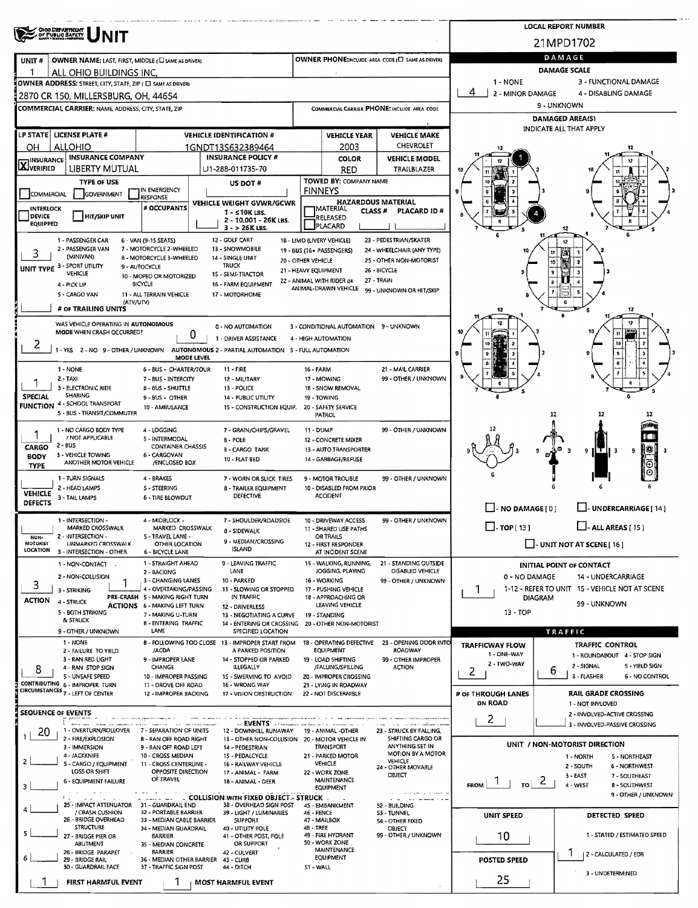|                                  | OHIO DEPARTMENT<br>OF PUBLIC BAPETY<br>NIT                                             |                                                           |                                                                                          |                      |                                                                     |                                                      |                                       | <b>LOCAL REPORT NUMBER</b>                                         |  |  |  |  |
|----------------------------------|----------------------------------------------------------------------------------------|-----------------------------------------------------------|------------------------------------------------------------------------------------------|----------------------|---------------------------------------------------------------------|------------------------------------------------------|---------------------------------------|--------------------------------------------------------------------|--|--|--|--|
|                                  |                                                                                        |                                                           |                                                                                          |                      |                                                                     |                                                      |                                       | 21MPD1702                                                          |  |  |  |  |
| UNIT#                            | OWNER NAME: LAST, FIRST, MIDDLE ( CI SAME AS DRIVER)                                   |                                                           |                                                                                          |                      |                                                                     | OWNER PHONE: INCLUDE AREA CODE (E) SAME AS DRIVERY   |                                       | DAMAGE<br>DAMAGE SCALE                                             |  |  |  |  |
|                                  | ALL OHIO BUILDINGS INC.<br>OWNER ADDRESS: STREET, CITY, STATE, ZIP ( E SAME AS DRIVER) |                                                           |                                                                                          |                      |                                                                     |                                                      | 1 - NONE                              | 3 - FUNCTIONAL DAMAGE                                              |  |  |  |  |
|                                  | 2870 CR 150, MILLERSBURG, OH, 44654                                                    |                                                           |                                                                                          |                      |                                                                     |                                                      | 4<br>2 - MINOR DAMAGE                 | 4 - DISABLING DAMAGE                                               |  |  |  |  |
|                                  | COMMERCIAL CARRIER: NAME, ADDRESS, CITY, STATE, ZIP                                    |                                                           |                                                                                          |                      |                                                                     | COMMERCIAL CARRIER PHONE: INCLUDE AREA CODE          |                                       | 9 UNKNOWN                                                          |  |  |  |  |
|                                  |                                                                                        |                                                           |                                                                                          |                      |                                                                     |                                                      |                                       | <b>DAMAGED AREA(S)</b><br>INDICATE ALL THAT APPLY                  |  |  |  |  |
|                                  | LP STATE LICENSE PLATE #                                                               |                                                           | <b>VEHICLE IDENTIFICATION #</b>                                                          |                      | <b>VEHICLE YEAR</b>                                                 | <b>VEHICLE MAKE</b>                                  |                                       |                                                                    |  |  |  |  |
| OН                               | ALLOHIO                                                                                |                                                           | 1GNDT13S632389464                                                                        |                      | 2003                                                                | <b>CHEVROLET</b>                                     |                                       |                                                                    |  |  |  |  |
| <b>X</b> INSURANCE               | <b>INSURANCE COMPANY</b><br>LIBERTY MUTUAL                                             |                                                           | <b>INSURANCE POLICY #</b><br>⊔1-288-011735-70                                            |                      | <b>COLOR</b><br><b>RED</b>                                          | <b>VEHICLE MODEL</b><br>TRAILBLAZER                  |                                       |                                                                    |  |  |  |  |
|                                  | <b>TYPE OF USE</b>                                                                     |                                                           | US DOT #                                                                                 |                      | TOWED BY: COMPANY NAME                                              |                                                      |                                       |                                                                    |  |  |  |  |
| COMMERCIAL                       | <b>GOVERNMENT</b>                                                                      | I IN EMERGENCY<br><b>RESPONSE</b>                         |                                                                                          |                      | <b>FINNEYS</b>                                                      |                                                      |                                       |                                                                    |  |  |  |  |
| <b>INTERLOCK</b>                 |                                                                                        | # OCCUPANTS                                               | <b>VEHICLE WEIGHT GVWR/GCWR</b><br>$1 - 510K$ LBS.                                       |                      | <b>HAZARDOUS MATERIAL</b><br><b>IMATERIAL</b><br>CLASS <sup>#</sup> | PLACARD ID#                                          |                                       |                                                                    |  |  |  |  |
| <b>DEVICE</b><br><b>EQUIPPED</b> | <b>HIT/SKIP UNIT</b>                                                                   |                                                           | 2 - 10,001 - 26K LBS.<br>$3 - 26K$ LBS.                                                  |                      | RELEASED<br>PLACARD                                                 |                                                      |                                       | 12<br>6                                                            |  |  |  |  |
|                                  | 1 - PASSENGER CAR<br>2 - PASSENGER VAN                                                 | 6 - VAN (9-15 SEATS)<br>7 - MOTORCYCLE 2-WHEELED          | 12 GOLF CART<br>13 - SNOWMOBILE                                                          |                      | 16 - LIMO (LIVERY VEHICLE)<br>19 - BUS (16+ PASSENGERS)             | 23 - PEDESTRIAN/SKATER<br>24 - WHEELCHAIR (ANY TYPE) |                                       | 12                                                                 |  |  |  |  |
| 3                                | (MINIVAN)                                                                              | <b>B - MOTORCYCLE 3 - WHEELED</b>                         | 14 - SINGLE UNIT                                                                         | 20 - OTHER VEHICLE   |                                                                     | 25 - OTHER NON-MOTORIST                              |                                       | 11<br>10                                                           |  |  |  |  |
|                                  | UNIT TYPE 3 - SPORT UTILITY<br>VEHICLE                                                 | 9 - AUTOCYCLE<br>10 - MOPED OR MOTORIZED                  | <b>TRUCK</b><br>15 - SEMI-TRACTOR                                                        | 21 - HEAVY EQUIPMENT |                                                                     | 26 - BICYCLE                                         |                                       |                                                                    |  |  |  |  |
|                                  | 4 - PICK UP                                                                            | <b>BICYCLE</b>                                            | 16 - FARM EQUIPMENT                                                                      |                      | 22 - ANIMAL WITH RIDER OR<br>ANIMAL-DRAWN VEHICLE                   | 27 - TRAIN<br>99 - UNKNOWN OR HIT/SKIP               |                                       |                                                                    |  |  |  |  |
|                                  | S - CARGO VAN<br>(ATV/UTV)                                                             | 11 - ALL TERRAIN VEHICLE                                  | 17 - MOTORHOME                                                                           |                      |                                                                     |                                                      |                                       |                                                                    |  |  |  |  |
|                                  | # OF TRAILING UNITS                                                                    |                                                           |                                                                                          |                      |                                                                     |                                                      |                                       | 12                                                                 |  |  |  |  |
|                                  | WAS VEHICLE OPERATING IN AUTONOMOUS<br>MODE WHEN CRASH OCCURRED?                       |                                                           | 0 - NO AUTOMATION                                                                        |                      | 3 - CONDITIONAL AUTOMATION 9 - UNKNOWN                              |                                                      |                                       | 12                                                                 |  |  |  |  |
| 2                                |                                                                                        |                                                           | 0<br>1 - DRIVER ASSISTANCE                                                               |                      | 4 - HIGH AUTOMATION                                                 |                                                      |                                       |                                                                    |  |  |  |  |
|                                  |                                                                                        | MODE LEVEL                                                | 1 - YES 2 - NO 9 - OTHER / UNKNOWN AUTONOMOUS 2 - PARTIAL AUTOMATION 5 - FULL AUTOMATION |                      |                                                                     |                                                      |                                       |                                                                    |  |  |  |  |
|                                  | 1 - NONE                                                                               | 6 - BUS - CHARTER/TOUR                                    | 11 - FIRE                                                                                | <b>16 - FARM</b>     |                                                                     | 21 - MAIL CARRIER                                    |                                       |                                                                    |  |  |  |  |
|                                  | $2 - TAXI$<br>3 - ELECTRONIC RIDE                                                      | 7 - BUS - INTERCITY<br>B - BUS - SHUTTLE                  | 12 - MILITARY<br>13 - POLICE                                                             |                      | 17 - MOWING<br>1B - SNOW REMOVAL                                    | 99 - OTHER / UNKNOWN                                 |                                       |                                                                    |  |  |  |  |
| <b>SPECIAL</b>                   | <b>SHARING</b><br><b>FUNCTION 4 - SCHOOL TRANSPORT</b>                                 | 9 - BUS - OTHER                                           | 14 - PUBLIC UTILITY                                                                      |                      | 19 - TOWING                                                         |                                                      |                                       |                                                                    |  |  |  |  |
|                                  | 5 - BUS - TRANSIT/COMMUTER                                                             | 10 - AMBULANCE                                            | 15 - CONSTRUCTION EQUIP.                                                                 |                      | 20 - SAFETY SERVICE<br><b>PATROL</b>                                |                                                      |                                       | 12<br>12                                                           |  |  |  |  |
|                                  | 1 - NO CARGO BODY TYPE                                                                 | 4 - LOGGING                                               | 7 - GRAIN/CHIPS/GRAVEL                                                                   | <b>11 - DUMP</b>     |                                                                     | 99 - OTHER / UNKNOWN                                 |                                       |                                                                    |  |  |  |  |
|                                  | / NOT APPLICABLE<br>$2 - BUS$                                                          | 5 - INTERMODAL                                            | <b>B - POLE</b>                                                                          |                      | 12 - CONCRETE MIXER                                                 |                                                      |                                       |                                                                    |  |  |  |  |
| <b>CARGO</b><br><b>BODY</b>      | 3 - VEHICLE TOWING                                                                     | <b>CONTAINER CHASSIS</b><br>6 - CARGOVAN                  | 9 - CARGO TANK<br>10 - FLAT BED                                                          |                      | 13 - AUTO TRANSPORTER<br>14 - GARBAGE/REFUSE                        |                                                      |                                       | 翡<br>9<br>9<br>-3                                                  |  |  |  |  |
| <b>TYPE</b>                      | ANOTHER MOTOR VEHICLE                                                                  | /ENCLOSED BOX                                             |                                                                                          |                      |                                                                     |                                                      |                                       | ⊙                                                                  |  |  |  |  |
|                                  | 1 - TURN SIGNALS<br>2 - HEAD LAMPS                                                     | 4 - BRAKES<br><b>S-STEERING</b>                           | 7 - WORN OR SLICK TIRES<br><b>8 - TRAILER EQUIPMENT</b>                                  |                      | 9 - MOTOR TROUBLE<br>10 - DISABLED FROM PRIOR                       | 99 - OTHER / UNKNOWN                                 |                                       |                                                                    |  |  |  |  |
| VEHICLE<br><b>DEFECTS</b>        | 3 - TAIL LAMPS                                                                         | 6 - TIRE BLOWOUT                                          | DEFECTIVE                                                                                |                      | <b>ACCIDENT</b>                                                     |                                                      |                                       |                                                                    |  |  |  |  |
|                                  |                                                                                        |                                                           |                                                                                          |                      |                                                                     |                                                      | $\Box$ - NO DAMAGE[0]                 | $\Box$ - UNDERCARRIAGE [ 14 ]                                      |  |  |  |  |
|                                  | 1 - INTERSECTION -<br><b>MARKED CROSSWALK</b>                                          | 4 - MIDBLOCK -<br>MAKKEU LROSSWALK                        | 7 - SHOULDER/ROADSIDE                                                                    |                      | 10 - DRIVEWAY ACCESS<br>11 - SHARED USE PATHS                       | 99 - OTHER / UNKNOWN                                 | $\Box$ - TOP { 13 }                   | $\Box$ - ALL AREAS [ 15 ]                                          |  |  |  |  |
| NON-<br>MOTORIST                 | 2 - INTERSECTION -<br><b>UNMARKED CROSSWALK</b>                                        | 5 - TRAVEL LANE -<br>OTHER LOCATION                       | 8 - SIDEWALK<br>9 - MEDIAN/CROSSING                                                      |                      | <b>OR TRAILS</b><br>12 - FIRST RESPONDER                            |                                                      |                                       | UNIT NOT AT SCENE [16]                                             |  |  |  |  |
| <b>LOCATION</b>                  | 3 - INTERSECTION - OTHER                                                               | 6 - BICYCLE LANE                                          | <b>ISLAND</b>                                                                            |                      | AT INCIDENT SCENE                                                   |                                                      |                                       |                                                                    |  |  |  |  |
|                                  | 1 - NON-CONTACT .                                                                      | 1 - STRAIGHT AHEAD<br>2 - BACKING                         | 9 - LEAVING TRAFFIC<br>LANE                                                              |                      | 15 - WALKING, RUNNING,<br>JOGGING, PLAYING                          | 21 - STANDING OUTSIDE<br>DISABLED VEHICLE            |                                       | <b>INITIAL POINT OF CONTACT</b>                                    |  |  |  |  |
| 3                                | 2 - NON-COLLISION                                                                      | 3 - CHANGING LANES                                        | 10 - PARKED                                                                              |                      | 16 WORKING                                                          | 99 - OTHER / UNKNOWN                                 | 0 - NO DAMAGE                         | 14 - UNDERCARRIAGE                                                 |  |  |  |  |
| <b>ACTION</b>                    | 3 - STRIKING                                                                           | 4 - OVERTAKING/PASSING<br>PRE-CRASH 5 - MAKING RIGHT TURN | 11 - SLOWING OR STOPPED<br>IN TRAFFIC                                                    |                      | 17 - PUSHING VEHICLE<br>1B - APPROACHING OR                         |                                                      | T<br><b>DIAGRAM</b>                   | 1-12 - REFER TO UNIT 15 - VEHICLE NOT AT SCENE                     |  |  |  |  |
|                                  | 4 - STRUCK<br>5 - BOTH STRIKING                                                        | <b>ACTIONS 6 - MAKING LEFT TURN</b>                       | 12 - DRIVERLESS                                                                          |                      | LEAVING VEHICLE                                                     |                                                      | $13 - TOP$                            | 99 - UNKNOWN                                                       |  |  |  |  |
|                                  | & STRUCK                                                                               | 7 - MAKING U-TURN<br><b>B-ENTERING TRAFFIC</b>            | 13 - NEGOTIATING A CURVE<br>14 - ENTERING OR CROSSING                                    |                      | 19 - STANDING<br>20 - OTHER NON-MOTORIST                            |                                                      |                                       |                                                                    |  |  |  |  |
|                                  | 9 - OTHER / UNKNOWN<br>1 - NONE                                                        | LANE                                                      | SPECIFIED LOCATION<br>8 - FOLLOWING TOO CLOSE 13 - IMPROPER START FROM                   |                      | 18 - OPERATING DEFECTIVE                                            | 23 - OPENING DOOR INTO                               |                                       | <b>TRAFFIC</b>                                                     |  |  |  |  |
|                                  | 2 - FAILURE TO YIELD                                                                   | /ACDA                                                     | A PARKED POSITION                                                                        |                      | <b>EQUIPMENT</b>                                                    | ROADWAY                                              | <b>TRAFFICWAY FLOW</b><br>1 - ONE-WAY | TRAFFIC CONTROL<br>1 - ROUNDABOUT 4 - STOP SIGN                    |  |  |  |  |
| 8                                | 3 - RAN RED LIGHT<br>4 - RAN STOP SIGN                                                 | 9 - IMPROPER LANE<br>CHANGE                               | 14 - STOPPED OR PARKED<br><b>ILLEGALLY</b>                                               |                      | 19 - LOAD SHIFTING<br>/FALUNG/SPILLING                              | 99 - OTHER IMPROPER<br><b>ACTION</b>                 | 2 - TWO-WAY                           | 2 - SIGNAL<br>5 - YIELD SIGN                                       |  |  |  |  |
|                                  | 5 - UNSAFE SPEED<br>CONTRIBUTING 6 - IMPROPER TURN                                     | 10 - IMPROPER PASSING                                     | 1S - SWERVING TO AVOID                                                                   |                      | 20 - IMPROPER CROSSING                                              |                                                      | 2                                     | ь<br>3 - FLASHER<br>6 - NO CONTROL                                 |  |  |  |  |
|                                  | CIRCUMSTANCES 7 - LEFT OF CENTER                                                       | 11 - DROVE OFF ROAD<br>12 - IMPROPER BACKING              | 16 - WRONG WAY<br>17 - VISION OBSTRUCTION                                                |                      | 21 - LYING IN ROADWAY<br>22 - NOT DISCERNIBLE                       |                                                      | # OF THROUGH LANES                    | <b>RAIL GRADE CROSSING</b>                                         |  |  |  |  |
| <b>SEQUENCE OF EVENTS</b>        |                                                                                        |                                                           |                                                                                          |                      |                                                                     |                                                      | ON ROAD                               | 1 - NOT INVLOVED<br>2 - INVOLVED-ACTIVE CROSSING                   |  |  |  |  |
|                                  |                                                                                        |                                                           |                                                                                          |                      |                                                                     |                                                      | 2                                     | 3 - INVOLVED-PASSIVE CROSSING                                      |  |  |  |  |
| -20                              | 1 - OVERTURN/ROLLOVER<br>2 - FIRE/EXPLOSION                                            | 7 - SEPARATION OF UNITS<br>8 - RAN OFF ROAD RIGHT         | 12 - DOWNHILL RUNAWAY<br>13 - OTHER NON-COLLISION 20 - MOTOR VEHICLE IN                  |                      | 19 - ANIMAL -OTHER                                                  | 23 - STRUCK BY FALLING,<br>SHIFTING CARGO OR         |                                       |                                                                    |  |  |  |  |
|                                  | 3 - IMMERSION<br>4 - JACKKNIFE                                                         | 9 - RAN OFF ROAD LEFT<br>10 - CROSS MEDIAN                | 14 - PEDESTRIAN<br>15 - PEDALCYCLE                                                       |                      | <b>TRANSPORT</b><br>21 - PARKED MOTOR                               | ANYTHING SET IN<br>MOTION BY A MOTOR                 |                                       | UNIT / NON-MOTORIST DIRECTION<br>1 - NORTH<br><b>S - NORTHEAST</b> |  |  |  |  |
| 2                                | 5 - CARGO / EQUIPMENT                                                                  | 11 - CROSS CENTERLINE -                                   | 16 - RAILWAY VEHICLE                                                                     |                      | <b>VEHICLE</b>                                                      | <b>VEHICLE</b><br>24 - OTHER MOVABLE                 |                                       | 2 - SOUTH<br>6 - NORTHWEST                                         |  |  |  |  |
|                                  | LOSS OR SHIFT<br>6 - EQUIPMENT FAILURE                                                 | OPPOSITE DIRECTION<br>OF TRAVEL                           | 17 - ANIMAL - FARM<br>18 - ANIMAL - DEER                                                 |                      | 22 - WORK ZONE<br><b>MAINTENANCE</b>                                | OBJECT                                               |                                       | 3 - EAST<br>7 - SOUTHEAST<br>$\epsilon$                            |  |  |  |  |
| 3                                |                                                                                        |                                                           | <b>EXECUTE: COLLISION WITH FIXED OBJECT - STRUCK</b>                                     |                      | <b>EQUIPMENT</b>                                                    | contract and companies are a commental               | <b>FROM</b><br>TO !                   | 4 - WEST<br>8 - SOUTHWEST<br>9 - OTHER / UNKNOWN                   |  |  |  |  |
|                                  | 25 - IMPACT ATTENUATOR 31 - GUARDRAIL END                                              |                                                           | 38 - OVERHEAD SIGN POST                                                                  |                      | 4S - EMBANKMENT                                                     | 52 - BUILDING                                        |                                       |                                                                    |  |  |  |  |
|                                  | / CRASH CUSHION<br>26 - BRIDGE OVERHEAD                                                | 32 - PORTABLE BARRIER<br>33 - MEDIAN CABLE BARRIER        | 39 - LIGHT / LUMINARIES<br><b>SUPPORT</b>                                                | 46 - FENCE           | 47 MAILBOX                                                          | S3 - TUNNEL<br>54 - OTHER FIXED                      | UNIT SPEED                            | DETECTED SPEED                                                     |  |  |  |  |
| 5                                | <b>STRUCTURE</b><br>27 - BRIDGE PIER OR                                                | 34 - MEDIAN GUARDRAIL<br><b>BARRIER</b>                   | 40 - UTILITY POLE<br>41 - OTHER POST, POLE                                               | 48 - TREE            | 49 - FIRE HYDRANT                                                   | OBJECT<br>99 - OTHER / UNKNOWN                       | 10                                    | 1 - STATED / ESTIMATED SPEED                                       |  |  |  |  |
|                                  | ABUTMENT<br>2B - BRIDGE PARAPET                                                        | 35 - MEDIAN CONCRETE<br><b>BARRIER</b>                    | OR SUPPORT<br>42 - CULVERT                                                               |                      | 50 - WORK ZONE<br>MAINTENANCE                                       |                                                      |                                       |                                                                    |  |  |  |  |
| 6                                | 29 - BRIDGE RAIL<br>30 - GUARDRAIL FACE                                                | 37 - TRAFFIC SIGN POST                                    | 36 - MEDIAN OTHER BARRIER 43 - CURS                                                      |                      | <b>EQUIPMENT</b>                                                    |                                                      | <b>POSTED SPEED</b>                   | T.<br>  2 - CALCULATED / EDR                                       |  |  |  |  |
|                                  |                                                                                        |                                                           | 44 - DITCH                                                                               | S1 - WALL            |                                                                     |                                                      | 25                                    | 3 - UNDETERMINED                                                   |  |  |  |  |
|                                  | FIRST HARMFUL EVENT                                                                    |                                                           | <b>MOST HARMFUL EVENT</b>                                                                |                      |                                                                     |                                                      |                                       |                                                                    |  |  |  |  |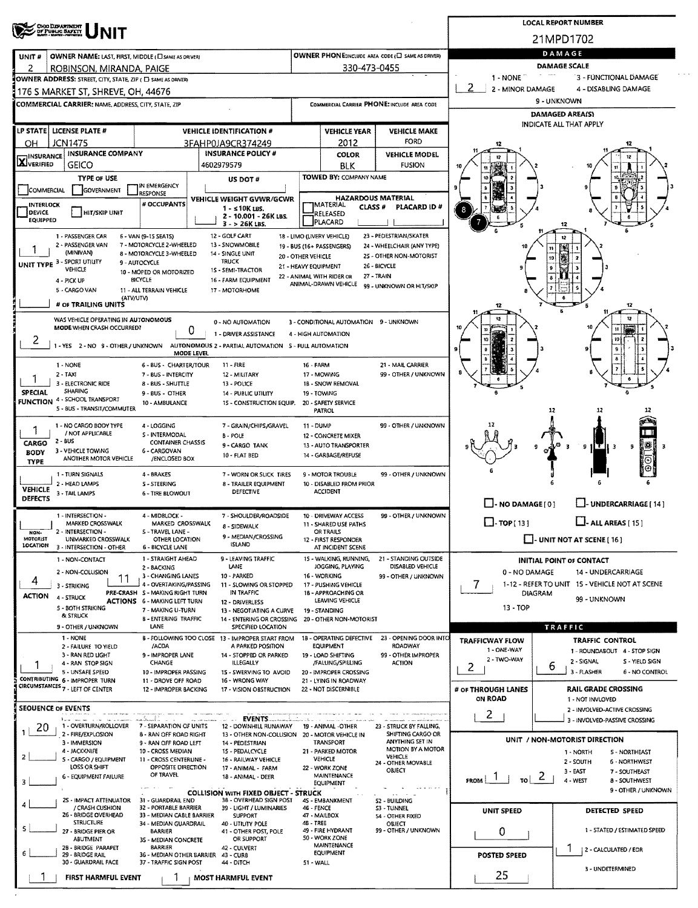| 21MPD1702<br>DAMAGE<br>OWNER PHONE:INCLUDE AREA CODE (E) SAME AS DRIVER)<br><b>OWNER NAME: LAST, FIRST, MIDDLE (CI SAME AS DRIVER)</b><br>DAMAGE SCALE<br>330-473-0455<br>ROBINSON, MIRANDA, PAIGE<br>$\sim$ 0.00 $\mu$<br>3 - FÚNCTIONAL DAMAGE<br>1 - NONE T<br>OWNER ADDRESS: STREET, CITY, STATE, ZIP ( C SAME AS ORIVER)<br>2<br>- 1<br>2 - MINOR DAMAGE<br>4 - DISABLING DAMAGE<br>176 S MARKET ST, SHREVE, OH, 44676<br>9 - UNKNOWN<br>COMMERCIAL CARRIER: NAME, ADDRESS, CITY, STATE, ZIP<br>COMMERCIAL CARRIER PHONE: INCLUDE AREA CODE<br>DAMAGED AREA(S)<br>INDICATE ALL THAT APPLY<br>LP STATE LICENSE PLATE #<br><b>VEHICLE IDENTIFICATION #</b><br><b>VEHICLE YEAR</b><br><b>VEHICLE MAKE</b><br><b>FORD</b><br>JCN1475<br>2012<br>3FAHP0JA9CR374249<br>OH<br><b>INSURANCE COMPANY</b><br><b>INSURANCE POLICY #</b><br><b>VEHICLE MODEL</b><br>COLOR<br><b>GEICO</b><br>4602979579<br><b>FUSION</b><br><b>BLK</b><br><b>TOWED BY: COMPANY NAME</b><br><b>TYPE OF USE</b><br>US DOT#<br>IN EMERGENCY<br>GOVERNMENT<br><b>RESPONSE</b><br><b>HAZARDOUS MATERIAL</b><br><b>VEHICLE WEIGHT GVWR/GCWR</b><br># OCCUPANTS<br><b>IMATERIAL</b><br>CLASS <sup>#</sup><br>PLACARD ID#<br>$1 - 10K$ LBS.<br>8<br>DEVICE<br><b>HIT/SKIP UNIT</b><br>RELEASED<br>2 - 10.001 - 26K LBS.<br>PLACARD<br>$3 - 26K$ LBS.<br>12 - GOLF CART<br>23 - PEDESTRIAN/SKATER<br>1 - PASSENGER CAR<br>6 - VAN (9-15 SEATS)<br>18 - LIMO (LIVERY VEHICLE)<br>2 - PASSENGER VAN<br>7 - MOTORCYCLE 2-WHEELED<br>13 - SNOWMOBILE<br>24 - WHEELCHAIR (ANY TYPE)<br>19 - BUS (16+ PASSENGERS)<br>(MINIVAN)<br>8 - MOTORCYCLE 3-WHEELED<br>14 - SINGLE UNIT<br>25 - OTHER NON-MOTORIST<br>20 - OTHER VEHICLE<br>19<br><b>TRUCK</b><br>9 - AUTOCYCLE<br>26 - BICYCLE<br>21 - HEAVY EQUIPMENT<br>VEHICLE<br>1S - SEMI-TRACTOR<br>10 - MOPED OR MOTORIZED<br>22 - ANIMAL WITH RIDER OR<br>27 - TRAIN<br>BICYCLE<br>16 - FARM EQUIPMENT<br>4 - PICK UP<br>ANIMAL-DRAWN VEHICLE<br>99 - UNKNOWN OR HIT/SKIP<br>5 - CARGO VAN<br>11 - ALL TERRAIN VEHICLE<br>17 - MOTORHOME<br>(ATV/UTV)<br># OF TRAILING UNITS<br>12<br>WAS VEHICLE OPERATING IN AUTONOMOUS<br>3 - CONDITIONAL AUTOMATION 9 - UNKNOWN<br>0 - NO AUTOMATION<br>MODE WHEN CRASH OCCURRED?<br>0<br>1 - DRIVER ASSISTANCE<br>4 - HIGH AUTOMATION<br>۷<br>1 - YES 2 - NO 9 - OTHER / UNKNOWN<br>AUTONOMOUS 2 - PARTIAL AUTOMATION 5 - FULL AUTOMATION<br>MODE LEVEL<br>$11 - FIRE$<br>21 - MAIL CARRIER<br>1 - NONE<br>6 - BUS - CHARTER/TOUR<br>16 - FARM<br>99 - OTHER / UNKNOWN<br>$2 - TAX$<br>7 - BUS - INTERCITY<br>17 - MOWING<br>12 - MILITARY<br>3 - ELECTRONIC RIDE<br>1B - SNOW REMOVAL<br>8 - BUS - SHUTTLE<br>13 - POLICE<br><b>SHARING</b><br><b>SPECIAL</b><br>9 - BUS - OTHER<br>19 - TOWING<br><b>14 - PUBLIC UTILITY</b><br>10 - AMBULANCE<br>15 - CONSTRUCTION EQUIP.<br>20 - SAFETY SERVICE<br>5 - BUS - TRANSIT/COMMUTER<br>PATROL<br>12<br>12<br>12<br>99 - OTHER / UNKNOWN<br>1 - NO CARGO BODY TYPE<br>4 - LOGGING<br>7 - GRAIN/CHIPS/GRAVEL<br>11 - DUMP<br>1<br>/ NOT APPLICABLE<br>S - INTERMODAL<br><b>B-POLE</b><br>12 - CONCRETE MIXER<br>2 - BUS<br><b>CONTAINER CHASSIS</b><br>罧<br>13 - AUTO TRANSPORTER<br>9 - CARGO TANK<br>a<br>9<br>3<br>- 3<br>.<br>3 - VEHICLE TOWING<br>6 - CARGOVAN<br>10 - FLAT BED<br>14 - GARBAGE/REFUSE<br>ANOTHER MOTOR VEHICLE<br>/ENCLOSED BOX<br>Θ<br><b>TYPE</b><br>1 - TURN SIGNALS<br>4 - BRAKES<br>99 - OTHER / UNKNOWN<br>7 - WORN OR SLICK TIRES<br>9 - MOTOR TROUBLE<br>2 - HEAD LAMPS<br>5 - STEERING<br>10 - DISABLED FROM PRIOR<br>8 - TRAILER EQUIPMENT<br><b>ACCIDENT</b><br><b>DEFECTIVE</b><br>3 - TAIL LAMPS<br>6 - TIRE BLOWOUT<br>$\Box$ - NO DAMAGE $[0]$<br>L-UNDERCARRIAGE [14]<br>99 - OTHER / UNKNOWN<br>1 - INTERSECTION -<br>4 - MIDBLOCK -<br>7 - SHOULDER/ROADSIDE<br>10 - DRIVEWAY ACCESS<br>$\Box$ - ALL AREAS [ 15 ]<br>$\Box$ - TOP[13]<br>MARKED CROSSWALK<br>MARKED CROSSWALK<br>11 - SHARED USE PATHS<br>8 - SIDEWALK<br>2 - INTERSECTION -<br>S - TRAVEL LANE -<br>OR TRAILS<br>NON-<br>9 - MEDIAN/CROSSING<br>$\Box$ - UNIT NOT AT SCENE [ 16 ]<br>UNMARKED CROSSWALK<br>OTHER LOCATION<br>12 - FIRST RESPONDER<br><b>ISLAND</b><br>3 - INTERSECTION - OTHER<br><b>6 - BICYCLE LANE</b><br>AT INCIDENT SCENE<br>1 - STRAIGHT AHEAD<br>9 - LEAVING TRAFFIC<br>15 - WALKING, RUNNING,<br>21 - STANDING OUTSIDE<br>1 - NON-CONTACT<br><b>INITIAL POINT OF CONTACT</b><br>DISABLED VEHICLE<br>LANE<br>JOGGING, PLAYING<br>2 - BACKING<br>2 - NON-COLLISION<br>0 - NO DAMAGE<br>14 - UNDERCARRIAGE<br>3 - CHANGING LANES<br>10 - PARKED<br>16 - WORKING<br>99 - OTHER / UNKNOWN<br>11<br>4<br>1-12 - REFER TO UNIT 15 - VEHICLE NOT AT SCENE<br>4 - OVERTAKING/PASSING<br>$\prime$<br>11 - SLOWING OR STOPPED<br>17 - PUSHING VEHICLE<br>3 - STRIKING<br>PRE-CRASH S - MAKING RIGHT TURN<br>IN TRAFFIC<br>18 - APPROACHING OR<br>DIAGRAM<br>4 - STRUCK<br>99 - UNKNOWN<br>LEAVING VEHICLE<br>ACTIONS 6 - MAKING LEFT TURN<br>12 - DRIVERLESS<br>13 - TOP<br>5 - BOTH STRIKING<br>7 - MAKING U-TURN<br>13 - NEGOTIATING A CURVE<br>19 - STANDING<br>& STRUCK<br><b>B - ENTERING TRAFFIC</b><br>14 - ENTERING OR CROSSING 20 - OTHER NON-MOTORIST<br>LANE<br>SPECIFIED LOCATION<br>TRAFFIC<br>9 - OTHER / UNKNOWN<br>1 - NONE<br>23 - OPENING DOOR INTO<br>B - FOLLOWING TOO CLOSE 13 - IMPROPER START FROM<br><b>1B - OPERATING DEFECTIVE</b><br><b>TRAFFICWAY FLOW</b><br>TRAFFIC CONTROL<br>ROADWAY<br>/ACDA<br>A PARKED POSITION<br>EQUIPMENT<br>2 - FAILURE TO YIELD<br>1 - ONE-WAY<br>1 - ROUNDABOUT 4 - STOP SIGN<br>9 - IMPROPER LANE<br>99 - OTHER IMPROPER<br>3 - RAN RED LIGHT<br>14 - STOPPED OR PARKED<br>19 - LOAD SHIFTING<br>2 - TWO-WAY<br>2 - SIGNAL<br>S - YIELD SIGN<br>CHANGE<br><b>ILLEGALLY</b><br>/FALLING/SPILLING<br><b>ACTION</b><br>4 - RAN STOP SIGN<br>2<br>ь<br>3 - FLASHER<br>6 - NO CONTROL<br>5 - UNSAFE SPEED<br>10 - IMPROPER PASSING<br>15 - SWERVING TO AVOID<br>20 - IMPROPER CROSSING<br>11 - DROVE OFF ROAD<br>16 - WRONG WAY<br>21 - LYING IN ROADWAY<br>CIRCUMSTANCES 7 - LEFT OF CENTER<br>22 - NOT DISCERNIBLE<br><b>RAIL GRADE CROSSING</b><br>12 - IMPROPER BACKING<br># OF THROUGH LANES<br>17 - VISION OBSTRUCTION<br>ON ROAD<br>1 - NOT INVLOVED<br>2 - INVOLVED-ACTIVE CROSSING<br>2<br><b>EVENTS</b><br>المستنسب المسافر<br>3 - INVOLVED-PASSIVE CROSSING<br>الأمسط سير<br>1 - OVERTURN/ROLLOVER<br>7 - SEPARATION OF UNITS<br>20<br>12 - DOWNHILL RUNAWAY<br>19 - ANIMAL -OTHER<br>23 - STRUCK BY FALLING,<br>2 - FIRE/EXPLOSION<br>SHIFTING CARGO OR<br>8 - RAN OFF ROAD RIGHT<br>13 - OTHER NON-COLLISION 20 - MOTOR VEHICLE IN<br>UNIT / NON-MOTORIST DIRECTION<br>ANYTHING SET IN<br><b>TRANSPORT</b><br>3 - IMMERSION<br>9 - RAN OFF ROAD LEFT<br>14 - PEDESTRIAN<br>MOTION BY A MOTOR<br>4 - JACKKNIFE<br>10 - CROSS MEDIAN<br>15 - PEDALCYCLE<br>21 - PARKED MOTOR<br>1 - NORTH<br>5 - NORTHEAST<br>VEHICLE<br>VEHICLE<br>5 - CARGO / EQUIPMENT<br>11 - CROSS CENTERLINE -<br>16 - RAILWAY VEHICLE<br>2 - SOUTH<br>6 - NORTHWEST<br>24 - OTHER MOVABLE<br>LOSS OR SHIFT<br>OPPOSITE DIRECTION<br>22 - WORK ZONE<br>17 - ANIMAL - FARM<br>OBJECT<br>3 - EAST<br>7 - SOUTHEAST<br>OF TRAVEL<br>MAINTENANCE<br>6 - EQUIPMENT FAILURE<br>18 - ANIMAL - DEER<br>$\epsilon$<br><b>FROM</b><br>TO<br>4 - WEST<br>8 - SOUTHWEST<br>EQUIPMENT<br>9 - OTHER / UNKNOWN<br><b>COLLISION WITH FIXED OBJECT - STRUCK</b><br>25 - IMPACT ATTENUATOR<br>31 - GUARDRAIL END<br>38 - OVERHEAD SIGN POST<br>45 - EMBANKMENT<br>52 - BUILDING<br>/ CRASH CUSHION<br>32 - PORTABLE BARRIER<br>46 - FENCE<br>39 - LIGHT / LUMINARIES<br>S3 - TUNNEL<br>UNIT SPEED<br>DETECTED SPEED<br>26 - BRIDGE OVERHEAD<br>33 - MEDIAN CABLE BARRIER<br>47 - MAILBOX<br><b>SUPPORT</b><br>54 - OTHER FIXED<br><b>STRUCTURE</b><br>4B-TREE<br>34 - MEDIAN GUARDRAIL<br>40 - UTILITY POLE<br>OBJECT<br>99 - OTHER / UNKNOWN<br>1 - STATED / ESTIMATED SPEED<br>49 - FIRE HYDRANT<br>0<br>27 - BRIDGE PIER OR<br><b>BARRIER</b><br>41 - OTHER POST, POLE<br>50 - WORK ZONE<br>OR SUPPORT<br>ABUTMENT<br>3S - MEDIAN CONCRETE<br><b>MAINTENANCE</b><br><b>BARRIER</b><br>28 - BRIDGE PARAPET<br>42 - CULVERT<br>2 - CALCULATED / EDR<br><b>EQUIPMENT</b><br>29 - BRIDGE RAIL<br>36 - MEDIAN OTHER BARRIER 43 - CURB<br>POSTED SPEED<br>30 - GUARDRAIL FACE<br>37 - TRAFFIC SIGN POST<br>44 - DITCH<br>51 - WALL<br>3 - UNDETERMINED<br>25<br>FIRST HARMFUL EVENT<br>MOST HARMFUL EVENT | <b>CHO DEPARTMENT</b><br>OF PUBLIC BAFETY |  |  |  | <b>LOCAL REPORT NUMBER</b> |
|----------------------------------------------------------------------------------------------------------------------------------------------------------------------------------------------------------------------------------------------------------------------------------------------------------------------------------------------------------------------------------------------------------------------------------------------------------------------------------------------------------------------------------------------------------------------------------------------------------------------------------------------------------------------------------------------------------------------------------------------------------------------------------------------------------------------------------------------------------------------------------------------------------------------------------------------------------------------------------------------------------------------------------------------------------------------------------------------------------------------------------------------------------------------------------------------------------------------------------------------------------------------------------------------------------------------------------------------------------------------------------------------------------------------------------------------------------------------------------------------------------------------------------------------------------------------------------------------------------------------------------------------------------------------------------------------------------------------------------------------------------------------------------------------------------------------------------------------------------------------------------------------------------------------------------------------------------------------------------------------------------------------------------------------------------------------------------------------------------------------------------------------------------------------------------------------------------------------------------------------------------------------------------------------------------------------------------------------------------------------------------------------------------------------------------------------------------------------------------------------------------------------------------------------------------------------------------------------------------------------------------------------------------------------------------------------------------------------------------------------------------------------------------------------------------------------------------------------------------------------------------------------------------------------------------------------------------------------------------------------------------------------------------------------------------------------------------------------------------------------------------------------------------------------------------------------------------------------------------------------------------------------------------------------------------------------------------------------------------------------------------------------------------------------------------------------------------------------------------------------------------------------------------------------------------------------------------------------------------------------------------------------------------------------------------------------------------------------------------------------------------------------------------------------------------------------------------------------------------------------------------------------------------------------------------------------------------------------------------------------------------------------------------------------------------------------------------------------------------------------------------------------------------------------------------------------------------------------------------------------------------------------------------------------------------------------------------------------------------------------------------------------------------------------------------------------------------------------------------------------------------------------------------------------------------------------------------------------------------------------------------------------------------------------------------------------------------------------------------------------------------------------------------------------------------------------------------------------------------------------------------------------------------------------------------------------------------------------------------------------------------------------------------------------------------------------------------------------------------------------------------------------------------------------------------------------------------------------------------------------------------------------------------------------------------------------------------------------------------------------------------------------------------------------------------------------------------------------------------------------------------------------------------------------------------------------------------------------------------------------------------------------------------------------------------------------------------------------------------------------------------------------------------------------------------------------------------------------------------------------------------------------------------------------------------------------------------------------------------------------------------------------------------------------------------------------------------------------------------------------------------------------------------------------------------------------------------------------------------------------------------------------------------------------------------------------------------------------------------------------------------------------------------------------------------------------------------------------------------------------------------------------------------------------------------------------------------------------------------------------------------------------------------------------------------------------------------------------------------------------------------------------------------------------------------------------------------------------------------------------------------------------------------------------------------------------------------------------------------------------------------------------------------------------------------------------------------------------------------------------------------------------------------------------------------------------------------------------------------------------------------------------------------------------------------------------------------------------------------------------------------------------------------------------------------------------------------------------------------------------------------------------------------------------------------------------------------------------------------------------------------------------------------------------------------------------------------------------------------------------------------------------------------------------------------------------------------------------------------------------------------------------------------------------------------------------------------------------------------------------------------------------------------------------------------------------------------------------------------------------------------------------------------------------------------------------------------------------------------------------------------------------------------------------------------------------------------------------------------------------------------------------------------------------------------------------|-------------------------------------------|--|--|--|----------------------------|
|                                                                                                                                                                                                                                                                                                                                                                                                                                                                                                                                                                                                                                                                                                                                                                                                                                                                                                                                                                                                                                                                                                                                                                                                                                                                                                                                                                                                                                                                                                                                                                                                                                                                                                                                                                                                                                                                                                                                                                                                                                                                                                                                                                                                                                                                                                                                                                                                                                                                                                                                                                                                                                                                                                                                                                                                                                                                                                                                                                                                                                                                                                                                                                                                                                                                                                                                                                                                                                                                                                                                                                                                                                                                                                                                                                                                                                                                                                                                                                                                                                                                                                                                                                                                                                                                                                                                                                                                                                                                                                                                                                                                                                                                                                                                                                                                                                                                                                                                                                                                                                                                                                                                                                                                                                                                                                                                                                                                                                                                                                                                                                                                                                                                                                                                                                                                                                                                                                                                                                                                                                                                                                                                                                                                                                                                                                                                                                                                                                                                                                                                                                                                                                                                                                                                                                                                                                                                                                                                                                                                                                                                                                                                                                                                                                                                                                                                                                                                                                                                                                                                                                                                                                                                                                                                                                                                                                                                                                                                                                                                                                                                                                                                                                                                                                                                                                                                                                                                                                              |                                           |  |  |  |                            |
|                                                                                                                                                                                                                                                                                                                                                                                                                                                                                                                                                                                                                                                                                                                                                                                                                                                                                                                                                                                                                                                                                                                                                                                                                                                                                                                                                                                                                                                                                                                                                                                                                                                                                                                                                                                                                                                                                                                                                                                                                                                                                                                                                                                                                                                                                                                                                                                                                                                                                                                                                                                                                                                                                                                                                                                                                                                                                                                                                                                                                                                                                                                                                                                                                                                                                                                                                                                                                                                                                                                                                                                                                                                                                                                                                                                                                                                                                                                                                                                                                                                                                                                                                                                                                                                                                                                                                                                                                                                                                                                                                                                                                                                                                                                                                                                                                                                                                                                                                                                                                                                                                                                                                                                                                                                                                                                                                                                                                                                                                                                                                                                                                                                                                                                                                                                                                                                                                                                                                                                                                                                                                                                                                                                                                                                                                                                                                                                                                                                                                                                                                                                                                                                                                                                                                                                                                                                                                                                                                                                                                                                                                                                                                                                                                                                                                                                                                                                                                                                                                                                                                                                                                                                                                                                                                                                                                                                                                                                                                                                                                                                                                                                                                                                                                                                                                                                                                                                                                                              | UNIT <sub>#</sub>                         |  |  |  |                            |
|                                                                                                                                                                                                                                                                                                                                                                                                                                                                                                                                                                                                                                                                                                                                                                                                                                                                                                                                                                                                                                                                                                                                                                                                                                                                                                                                                                                                                                                                                                                                                                                                                                                                                                                                                                                                                                                                                                                                                                                                                                                                                                                                                                                                                                                                                                                                                                                                                                                                                                                                                                                                                                                                                                                                                                                                                                                                                                                                                                                                                                                                                                                                                                                                                                                                                                                                                                                                                                                                                                                                                                                                                                                                                                                                                                                                                                                                                                                                                                                                                                                                                                                                                                                                                                                                                                                                                                                                                                                                                                                                                                                                                                                                                                                                                                                                                                                                                                                                                                                                                                                                                                                                                                                                                                                                                                                                                                                                                                                                                                                                                                                                                                                                                                                                                                                                                                                                                                                                                                                                                                                                                                                                                                                                                                                                                                                                                                                                                                                                                                                                                                                                                                                                                                                                                                                                                                                                                                                                                                                                                                                                                                                                                                                                                                                                                                                                                                                                                                                                                                                                                                                                                                                                                                                                                                                                                                                                                                                                                                                                                                                                                                                                                                                                                                                                                                                                                                                                                                              | 2                                         |  |  |  |                            |
|                                                                                                                                                                                                                                                                                                                                                                                                                                                                                                                                                                                                                                                                                                                                                                                                                                                                                                                                                                                                                                                                                                                                                                                                                                                                                                                                                                                                                                                                                                                                                                                                                                                                                                                                                                                                                                                                                                                                                                                                                                                                                                                                                                                                                                                                                                                                                                                                                                                                                                                                                                                                                                                                                                                                                                                                                                                                                                                                                                                                                                                                                                                                                                                                                                                                                                                                                                                                                                                                                                                                                                                                                                                                                                                                                                                                                                                                                                                                                                                                                                                                                                                                                                                                                                                                                                                                                                                                                                                                                                                                                                                                                                                                                                                                                                                                                                                                                                                                                                                                                                                                                                                                                                                                                                                                                                                                                                                                                                                                                                                                                                                                                                                                                                                                                                                                                                                                                                                                                                                                                                                                                                                                                                                                                                                                                                                                                                                                                                                                                                                                                                                                                                                                                                                                                                                                                                                                                                                                                                                                                                                                                                                                                                                                                                                                                                                                                                                                                                                                                                                                                                                                                                                                                                                                                                                                                                                                                                                                                                                                                                                                                                                                                                                                                                                                                                                                                                                                                                              |                                           |  |  |  |                            |
|                                                                                                                                                                                                                                                                                                                                                                                                                                                                                                                                                                                                                                                                                                                                                                                                                                                                                                                                                                                                                                                                                                                                                                                                                                                                                                                                                                                                                                                                                                                                                                                                                                                                                                                                                                                                                                                                                                                                                                                                                                                                                                                                                                                                                                                                                                                                                                                                                                                                                                                                                                                                                                                                                                                                                                                                                                                                                                                                                                                                                                                                                                                                                                                                                                                                                                                                                                                                                                                                                                                                                                                                                                                                                                                                                                                                                                                                                                                                                                                                                                                                                                                                                                                                                                                                                                                                                                                                                                                                                                                                                                                                                                                                                                                                                                                                                                                                                                                                                                                                                                                                                                                                                                                                                                                                                                                                                                                                                                                                                                                                                                                                                                                                                                                                                                                                                                                                                                                                                                                                                                                                                                                                                                                                                                                                                                                                                                                                                                                                                                                                                                                                                                                                                                                                                                                                                                                                                                                                                                                                                                                                                                                                                                                                                                                                                                                                                                                                                                                                                                                                                                                                                                                                                                                                                                                                                                                                                                                                                                                                                                                                                                                                                                                                                                                                                                                                                                                                                                              |                                           |  |  |  |                            |
|                                                                                                                                                                                                                                                                                                                                                                                                                                                                                                                                                                                                                                                                                                                                                                                                                                                                                                                                                                                                                                                                                                                                                                                                                                                                                                                                                                                                                                                                                                                                                                                                                                                                                                                                                                                                                                                                                                                                                                                                                                                                                                                                                                                                                                                                                                                                                                                                                                                                                                                                                                                                                                                                                                                                                                                                                                                                                                                                                                                                                                                                                                                                                                                                                                                                                                                                                                                                                                                                                                                                                                                                                                                                                                                                                                                                                                                                                                                                                                                                                                                                                                                                                                                                                                                                                                                                                                                                                                                                                                                                                                                                                                                                                                                                                                                                                                                                                                                                                                                                                                                                                                                                                                                                                                                                                                                                                                                                                                                                                                                                                                                                                                                                                                                                                                                                                                                                                                                                                                                                                                                                                                                                                                                                                                                                                                                                                                                                                                                                                                                                                                                                                                                                                                                                                                                                                                                                                                                                                                                                                                                                                                                                                                                                                                                                                                                                                                                                                                                                                                                                                                                                                                                                                                                                                                                                                                                                                                                                                                                                                                                                                                                                                                                                                                                                                                                                                                                                                                              |                                           |  |  |  |                            |
|                                                                                                                                                                                                                                                                                                                                                                                                                                                                                                                                                                                                                                                                                                                                                                                                                                                                                                                                                                                                                                                                                                                                                                                                                                                                                                                                                                                                                                                                                                                                                                                                                                                                                                                                                                                                                                                                                                                                                                                                                                                                                                                                                                                                                                                                                                                                                                                                                                                                                                                                                                                                                                                                                                                                                                                                                                                                                                                                                                                                                                                                                                                                                                                                                                                                                                                                                                                                                                                                                                                                                                                                                                                                                                                                                                                                                                                                                                                                                                                                                                                                                                                                                                                                                                                                                                                                                                                                                                                                                                                                                                                                                                                                                                                                                                                                                                                                                                                                                                                                                                                                                                                                                                                                                                                                                                                                                                                                                                                                                                                                                                                                                                                                                                                                                                                                                                                                                                                                                                                                                                                                                                                                                                                                                                                                                                                                                                                                                                                                                                                                                                                                                                                                                                                                                                                                                                                                                                                                                                                                                                                                                                                                                                                                                                                                                                                                                                                                                                                                                                                                                                                                                                                                                                                                                                                                                                                                                                                                                                                                                                                                                                                                                                                                                                                                                                                                                                                                                                              |                                           |  |  |  |                            |
|                                                                                                                                                                                                                                                                                                                                                                                                                                                                                                                                                                                                                                                                                                                                                                                                                                                                                                                                                                                                                                                                                                                                                                                                                                                                                                                                                                                                                                                                                                                                                                                                                                                                                                                                                                                                                                                                                                                                                                                                                                                                                                                                                                                                                                                                                                                                                                                                                                                                                                                                                                                                                                                                                                                                                                                                                                                                                                                                                                                                                                                                                                                                                                                                                                                                                                                                                                                                                                                                                                                                                                                                                                                                                                                                                                                                                                                                                                                                                                                                                                                                                                                                                                                                                                                                                                                                                                                                                                                                                                                                                                                                                                                                                                                                                                                                                                                                                                                                                                                                                                                                                                                                                                                                                                                                                                                                                                                                                                                                                                                                                                                                                                                                                                                                                                                                                                                                                                                                                                                                                                                                                                                                                                                                                                                                                                                                                                                                                                                                                                                                                                                                                                                                                                                                                                                                                                                                                                                                                                                                                                                                                                                                                                                                                                                                                                                                                                                                                                                                                                                                                                                                                                                                                                                                                                                                                                                                                                                                                                                                                                                                                                                                                                                                                                                                                                                                                                                                                                              |                                           |  |  |  |                            |
|                                                                                                                                                                                                                                                                                                                                                                                                                                                                                                                                                                                                                                                                                                                                                                                                                                                                                                                                                                                                                                                                                                                                                                                                                                                                                                                                                                                                                                                                                                                                                                                                                                                                                                                                                                                                                                                                                                                                                                                                                                                                                                                                                                                                                                                                                                                                                                                                                                                                                                                                                                                                                                                                                                                                                                                                                                                                                                                                                                                                                                                                                                                                                                                                                                                                                                                                                                                                                                                                                                                                                                                                                                                                                                                                                                                                                                                                                                                                                                                                                                                                                                                                                                                                                                                                                                                                                                                                                                                                                                                                                                                                                                                                                                                                                                                                                                                                                                                                                                                                                                                                                                                                                                                                                                                                                                                                                                                                                                                                                                                                                                                                                                                                                                                                                                                                                                                                                                                                                                                                                                                                                                                                                                                                                                                                                                                                                                                                                                                                                                                                                                                                                                                                                                                                                                                                                                                                                                                                                                                                                                                                                                                                                                                                                                                                                                                                                                                                                                                                                                                                                                                                                                                                                                                                                                                                                                                                                                                                                                                                                                                                                                                                                                                                                                                                                                                                                                                                                                              | <b>HINSURANCE</b>                         |  |  |  |                            |
|                                                                                                                                                                                                                                                                                                                                                                                                                                                                                                                                                                                                                                                                                                                                                                                                                                                                                                                                                                                                                                                                                                                                                                                                                                                                                                                                                                                                                                                                                                                                                                                                                                                                                                                                                                                                                                                                                                                                                                                                                                                                                                                                                                                                                                                                                                                                                                                                                                                                                                                                                                                                                                                                                                                                                                                                                                                                                                                                                                                                                                                                                                                                                                                                                                                                                                                                                                                                                                                                                                                                                                                                                                                                                                                                                                                                                                                                                                                                                                                                                                                                                                                                                                                                                                                                                                                                                                                                                                                                                                                                                                                                                                                                                                                                                                                                                                                                                                                                                                                                                                                                                                                                                                                                                                                                                                                                                                                                                                                                                                                                                                                                                                                                                                                                                                                                                                                                                                                                                                                                                                                                                                                                                                                                                                                                                                                                                                                                                                                                                                                                                                                                                                                                                                                                                                                                                                                                                                                                                                                                                                                                                                                                                                                                                                                                                                                                                                                                                                                                                                                                                                                                                                                                                                                                                                                                                                                                                                                                                                                                                                                                                                                                                                                                                                                                                                                                                                                                                                              | <b>AJVERIFIED</b>                         |  |  |  |                            |
|                                                                                                                                                                                                                                                                                                                                                                                                                                                                                                                                                                                                                                                                                                                                                                                                                                                                                                                                                                                                                                                                                                                                                                                                                                                                                                                                                                                                                                                                                                                                                                                                                                                                                                                                                                                                                                                                                                                                                                                                                                                                                                                                                                                                                                                                                                                                                                                                                                                                                                                                                                                                                                                                                                                                                                                                                                                                                                                                                                                                                                                                                                                                                                                                                                                                                                                                                                                                                                                                                                                                                                                                                                                                                                                                                                                                                                                                                                                                                                                                                                                                                                                                                                                                                                                                                                                                                                                                                                                                                                                                                                                                                                                                                                                                                                                                                                                                                                                                                                                                                                                                                                                                                                                                                                                                                                                                                                                                                                                                                                                                                                                                                                                                                                                                                                                                                                                                                                                                                                                                                                                                                                                                                                                                                                                                                                                                                                                                                                                                                                                                                                                                                                                                                                                                                                                                                                                                                                                                                                                                                                                                                                                                                                                                                                                                                                                                                                                                                                                                                                                                                                                                                                                                                                                                                                                                                                                                                                                                                                                                                                                                                                                                                                                                                                                                                                                                                                                                                                              |                                           |  |  |  |                            |
|                                                                                                                                                                                                                                                                                                                                                                                                                                                                                                                                                                                                                                                                                                                                                                                                                                                                                                                                                                                                                                                                                                                                                                                                                                                                                                                                                                                                                                                                                                                                                                                                                                                                                                                                                                                                                                                                                                                                                                                                                                                                                                                                                                                                                                                                                                                                                                                                                                                                                                                                                                                                                                                                                                                                                                                                                                                                                                                                                                                                                                                                                                                                                                                                                                                                                                                                                                                                                                                                                                                                                                                                                                                                                                                                                                                                                                                                                                                                                                                                                                                                                                                                                                                                                                                                                                                                                                                                                                                                                                                                                                                                                                                                                                                                                                                                                                                                                                                                                                                                                                                                                                                                                                                                                                                                                                                                                                                                                                                                                                                                                                                                                                                                                                                                                                                                                                                                                                                                                                                                                                                                                                                                                                                                                                                                                                                                                                                                                                                                                                                                                                                                                                                                                                                                                                                                                                                                                                                                                                                                                                                                                                                                                                                                                                                                                                                                                                                                                                                                                                                                                                                                                                                                                                                                                                                                                                                                                                                                                                                                                                                                                                                                                                                                                                                                                                                                                                                                                                              | COMMERCIAL                                |  |  |  |                            |
|                                                                                                                                                                                                                                                                                                                                                                                                                                                                                                                                                                                                                                                                                                                                                                                                                                                                                                                                                                                                                                                                                                                                                                                                                                                                                                                                                                                                                                                                                                                                                                                                                                                                                                                                                                                                                                                                                                                                                                                                                                                                                                                                                                                                                                                                                                                                                                                                                                                                                                                                                                                                                                                                                                                                                                                                                                                                                                                                                                                                                                                                                                                                                                                                                                                                                                                                                                                                                                                                                                                                                                                                                                                                                                                                                                                                                                                                                                                                                                                                                                                                                                                                                                                                                                                                                                                                                                                                                                                                                                                                                                                                                                                                                                                                                                                                                                                                                                                                                                                                                                                                                                                                                                                                                                                                                                                                                                                                                                                                                                                                                                                                                                                                                                                                                                                                                                                                                                                                                                                                                                                                                                                                                                                                                                                                                                                                                                                                                                                                                                                                                                                                                                                                                                                                                                                                                                                                                                                                                                                                                                                                                                                                                                                                                                                                                                                                                                                                                                                                                                                                                                                                                                                                                                                                                                                                                                                                                                                                                                                                                                                                                                                                                                                                                                                                                                                                                                                                                                              | INTERLOCK                                 |  |  |  |                            |
|                                                                                                                                                                                                                                                                                                                                                                                                                                                                                                                                                                                                                                                                                                                                                                                                                                                                                                                                                                                                                                                                                                                                                                                                                                                                                                                                                                                                                                                                                                                                                                                                                                                                                                                                                                                                                                                                                                                                                                                                                                                                                                                                                                                                                                                                                                                                                                                                                                                                                                                                                                                                                                                                                                                                                                                                                                                                                                                                                                                                                                                                                                                                                                                                                                                                                                                                                                                                                                                                                                                                                                                                                                                                                                                                                                                                                                                                                                                                                                                                                                                                                                                                                                                                                                                                                                                                                                                                                                                                                                                                                                                                                                                                                                                                                                                                                                                                                                                                                                                                                                                                                                                                                                                                                                                                                                                                                                                                                                                                                                                                                                                                                                                                                                                                                                                                                                                                                                                                                                                                                                                                                                                                                                                                                                                                                                                                                                                                                                                                                                                                                                                                                                                                                                                                                                                                                                                                                                                                                                                                                                                                                                                                                                                                                                                                                                                                                                                                                                                                                                                                                                                                                                                                                                                                                                                                                                                                                                                                                                                                                                                                                                                                                                                                                                                                                                                                                                                                                                              | EQUIPPED                                  |  |  |  |                            |
|                                                                                                                                                                                                                                                                                                                                                                                                                                                                                                                                                                                                                                                                                                                                                                                                                                                                                                                                                                                                                                                                                                                                                                                                                                                                                                                                                                                                                                                                                                                                                                                                                                                                                                                                                                                                                                                                                                                                                                                                                                                                                                                                                                                                                                                                                                                                                                                                                                                                                                                                                                                                                                                                                                                                                                                                                                                                                                                                                                                                                                                                                                                                                                                                                                                                                                                                                                                                                                                                                                                                                                                                                                                                                                                                                                                                                                                                                                                                                                                                                                                                                                                                                                                                                                                                                                                                                                                                                                                                                                                                                                                                                                                                                                                                                                                                                                                                                                                                                                                                                                                                                                                                                                                                                                                                                                                                                                                                                                                                                                                                                                                                                                                                                                                                                                                                                                                                                                                                                                                                                                                                                                                                                                                                                                                                                                                                                                                                                                                                                                                                                                                                                                                                                                                                                                                                                                                                                                                                                                                                                                                                                                                                                                                                                                                                                                                                                                                                                                                                                                                                                                                                                                                                                                                                                                                                                                                                                                                                                                                                                                                                                                                                                                                                                                                                                                                                                                                                                                              |                                           |  |  |  |                            |
|                                                                                                                                                                                                                                                                                                                                                                                                                                                                                                                                                                                                                                                                                                                                                                                                                                                                                                                                                                                                                                                                                                                                                                                                                                                                                                                                                                                                                                                                                                                                                                                                                                                                                                                                                                                                                                                                                                                                                                                                                                                                                                                                                                                                                                                                                                                                                                                                                                                                                                                                                                                                                                                                                                                                                                                                                                                                                                                                                                                                                                                                                                                                                                                                                                                                                                                                                                                                                                                                                                                                                                                                                                                                                                                                                                                                                                                                                                                                                                                                                                                                                                                                                                                                                                                                                                                                                                                                                                                                                                                                                                                                                                                                                                                                                                                                                                                                                                                                                                                                                                                                                                                                                                                                                                                                                                                                                                                                                                                                                                                                                                                                                                                                                                                                                                                                                                                                                                                                                                                                                                                                                                                                                                                                                                                                                                                                                                                                                                                                                                                                                                                                                                                                                                                                                                                                                                                                                                                                                                                                                                                                                                                                                                                                                                                                                                                                                                                                                                                                                                                                                                                                                                                                                                                                                                                                                                                                                                                                                                                                                                                                                                                                                                                                                                                                                                                                                                                                                                              |                                           |  |  |  |                            |
|                                                                                                                                                                                                                                                                                                                                                                                                                                                                                                                                                                                                                                                                                                                                                                                                                                                                                                                                                                                                                                                                                                                                                                                                                                                                                                                                                                                                                                                                                                                                                                                                                                                                                                                                                                                                                                                                                                                                                                                                                                                                                                                                                                                                                                                                                                                                                                                                                                                                                                                                                                                                                                                                                                                                                                                                                                                                                                                                                                                                                                                                                                                                                                                                                                                                                                                                                                                                                                                                                                                                                                                                                                                                                                                                                                                                                                                                                                                                                                                                                                                                                                                                                                                                                                                                                                                                                                                                                                                                                                                                                                                                                                                                                                                                                                                                                                                                                                                                                                                                                                                                                                                                                                                                                                                                                                                                                                                                                                                                                                                                                                                                                                                                                                                                                                                                                                                                                                                                                                                                                                                                                                                                                                                                                                                                                                                                                                                                                                                                                                                                                                                                                                                                                                                                                                                                                                                                                                                                                                                                                                                                                                                                                                                                                                                                                                                                                                                                                                                                                                                                                                                                                                                                                                                                                                                                                                                                                                                                                                                                                                                                                                                                                                                                                                                                                                                                                                                                                                              | UNIT TYPE 3 - SPORT UTILITY               |  |  |  |                            |
|                                                                                                                                                                                                                                                                                                                                                                                                                                                                                                                                                                                                                                                                                                                                                                                                                                                                                                                                                                                                                                                                                                                                                                                                                                                                                                                                                                                                                                                                                                                                                                                                                                                                                                                                                                                                                                                                                                                                                                                                                                                                                                                                                                                                                                                                                                                                                                                                                                                                                                                                                                                                                                                                                                                                                                                                                                                                                                                                                                                                                                                                                                                                                                                                                                                                                                                                                                                                                                                                                                                                                                                                                                                                                                                                                                                                                                                                                                                                                                                                                                                                                                                                                                                                                                                                                                                                                                                                                                                                                                                                                                                                                                                                                                                                                                                                                                                                                                                                                                                                                                                                                                                                                                                                                                                                                                                                                                                                                                                                                                                                                                                                                                                                                                                                                                                                                                                                                                                                                                                                                                                                                                                                                                                                                                                                                                                                                                                                                                                                                                                                                                                                                                                                                                                                                                                                                                                                                                                                                                                                                                                                                                                                                                                                                                                                                                                                                                                                                                                                                                                                                                                                                                                                                                                                                                                                                                                                                                                                                                                                                                                                                                                                                                                                                                                                                                                                                                                                                                              |                                           |  |  |  |                            |
|                                                                                                                                                                                                                                                                                                                                                                                                                                                                                                                                                                                                                                                                                                                                                                                                                                                                                                                                                                                                                                                                                                                                                                                                                                                                                                                                                                                                                                                                                                                                                                                                                                                                                                                                                                                                                                                                                                                                                                                                                                                                                                                                                                                                                                                                                                                                                                                                                                                                                                                                                                                                                                                                                                                                                                                                                                                                                                                                                                                                                                                                                                                                                                                                                                                                                                                                                                                                                                                                                                                                                                                                                                                                                                                                                                                                                                                                                                                                                                                                                                                                                                                                                                                                                                                                                                                                                                                                                                                                                                                                                                                                                                                                                                                                                                                                                                                                                                                                                                                                                                                                                                                                                                                                                                                                                                                                                                                                                                                                                                                                                                                                                                                                                                                                                                                                                                                                                                                                                                                                                                                                                                                                                                                                                                                                                                                                                                                                                                                                                                                                                                                                                                                                                                                                                                                                                                                                                                                                                                                                                                                                                                                                                                                                                                                                                                                                                                                                                                                                                                                                                                                                                                                                                                                                                                                                                                                                                                                                                                                                                                                                                                                                                                                                                                                                                                                                                                                                                                              |                                           |  |  |  |                            |
|                                                                                                                                                                                                                                                                                                                                                                                                                                                                                                                                                                                                                                                                                                                                                                                                                                                                                                                                                                                                                                                                                                                                                                                                                                                                                                                                                                                                                                                                                                                                                                                                                                                                                                                                                                                                                                                                                                                                                                                                                                                                                                                                                                                                                                                                                                                                                                                                                                                                                                                                                                                                                                                                                                                                                                                                                                                                                                                                                                                                                                                                                                                                                                                                                                                                                                                                                                                                                                                                                                                                                                                                                                                                                                                                                                                                                                                                                                                                                                                                                                                                                                                                                                                                                                                                                                                                                                                                                                                                                                                                                                                                                                                                                                                                                                                                                                                                                                                                                                                                                                                                                                                                                                                                                                                                                                                                                                                                                                                                                                                                                                                                                                                                                                                                                                                                                                                                                                                                                                                                                                                                                                                                                                                                                                                                                                                                                                                                                                                                                                                                                                                                                                                                                                                                                                                                                                                                                                                                                                                                                                                                                                                                                                                                                                                                                                                                                                                                                                                                                                                                                                                                                                                                                                                                                                                                                                                                                                                                                                                                                                                                                                                                                                                                                                                                                                                                                                                                                                              |                                           |  |  |  |                            |
|                                                                                                                                                                                                                                                                                                                                                                                                                                                                                                                                                                                                                                                                                                                                                                                                                                                                                                                                                                                                                                                                                                                                                                                                                                                                                                                                                                                                                                                                                                                                                                                                                                                                                                                                                                                                                                                                                                                                                                                                                                                                                                                                                                                                                                                                                                                                                                                                                                                                                                                                                                                                                                                                                                                                                                                                                                                                                                                                                                                                                                                                                                                                                                                                                                                                                                                                                                                                                                                                                                                                                                                                                                                                                                                                                                                                                                                                                                                                                                                                                                                                                                                                                                                                                                                                                                                                                                                                                                                                                                                                                                                                                                                                                                                                                                                                                                                                                                                                                                                                                                                                                                                                                                                                                                                                                                                                                                                                                                                                                                                                                                                                                                                                                                                                                                                                                                                                                                                                                                                                                                                                                                                                                                                                                                                                                                                                                                                                                                                                                                                                                                                                                                                                                                                                                                                                                                                                                                                                                                                                                                                                                                                                                                                                                                                                                                                                                                                                                                                                                                                                                                                                                                                                                                                                                                                                                                                                                                                                                                                                                                                                                                                                                                                                                                                                                                                                                                                                                                              |                                           |  |  |  |                            |
|                                                                                                                                                                                                                                                                                                                                                                                                                                                                                                                                                                                                                                                                                                                                                                                                                                                                                                                                                                                                                                                                                                                                                                                                                                                                                                                                                                                                                                                                                                                                                                                                                                                                                                                                                                                                                                                                                                                                                                                                                                                                                                                                                                                                                                                                                                                                                                                                                                                                                                                                                                                                                                                                                                                                                                                                                                                                                                                                                                                                                                                                                                                                                                                                                                                                                                                                                                                                                                                                                                                                                                                                                                                                                                                                                                                                                                                                                                                                                                                                                                                                                                                                                                                                                                                                                                                                                                                                                                                                                                                                                                                                                                                                                                                                                                                                                                                                                                                                                                                                                                                                                                                                                                                                                                                                                                                                                                                                                                                                                                                                                                                                                                                                                                                                                                                                                                                                                                                                                                                                                                                                                                                                                                                                                                                                                                                                                                                                                                                                                                                                                                                                                                                                                                                                                                                                                                                                                                                                                                                                                                                                                                                                                                                                                                                                                                                                                                                                                                                                                                                                                                                                                                                                                                                                                                                                                                                                                                                                                                                                                                                                                                                                                                                                                                                                                                                                                                                                                                              |                                           |  |  |  |                            |
|                                                                                                                                                                                                                                                                                                                                                                                                                                                                                                                                                                                                                                                                                                                                                                                                                                                                                                                                                                                                                                                                                                                                                                                                                                                                                                                                                                                                                                                                                                                                                                                                                                                                                                                                                                                                                                                                                                                                                                                                                                                                                                                                                                                                                                                                                                                                                                                                                                                                                                                                                                                                                                                                                                                                                                                                                                                                                                                                                                                                                                                                                                                                                                                                                                                                                                                                                                                                                                                                                                                                                                                                                                                                                                                                                                                                                                                                                                                                                                                                                                                                                                                                                                                                                                                                                                                                                                                                                                                                                                                                                                                                                                                                                                                                                                                                                                                                                                                                                                                                                                                                                                                                                                                                                                                                                                                                                                                                                                                                                                                                                                                                                                                                                                                                                                                                                                                                                                                                                                                                                                                                                                                                                                                                                                                                                                                                                                                                                                                                                                                                                                                                                                                                                                                                                                                                                                                                                                                                                                                                                                                                                                                                                                                                                                                                                                                                                                                                                                                                                                                                                                                                                                                                                                                                                                                                                                                                                                                                                                                                                                                                                                                                                                                                                                                                                                                                                                                                                                              |                                           |  |  |  |                            |
|                                                                                                                                                                                                                                                                                                                                                                                                                                                                                                                                                                                                                                                                                                                                                                                                                                                                                                                                                                                                                                                                                                                                                                                                                                                                                                                                                                                                                                                                                                                                                                                                                                                                                                                                                                                                                                                                                                                                                                                                                                                                                                                                                                                                                                                                                                                                                                                                                                                                                                                                                                                                                                                                                                                                                                                                                                                                                                                                                                                                                                                                                                                                                                                                                                                                                                                                                                                                                                                                                                                                                                                                                                                                                                                                                                                                                                                                                                                                                                                                                                                                                                                                                                                                                                                                                                                                                                                                                                                                                                                                                                                                                                                                                                                                                                                                                                                                                                                                                                                                                                                                                                                                                                                                                                                                                                                                                                                                                                                                                                                                                                                                                                                                                                                                                                                                                                                                                                                                                                                                                                                                                                                                                                                                                                                                                                                                                                                                                                                                                                                                                                                                                                                                                                                                                                                                                                                                                                                                                                                                                                                                                                                                                                                                                                                                                                                                                                                                                                                                                                                                                                                                                                                                                                                                                                                                                                                                                                                                                                                                                                                                                                                                                                                                                                                                                                                                                                                                                                              |                                           |  |  |  |                            |
|                                                                                                                                                                                                                                                                                                                                                                                                                                                                                                                                                                                                                                                                                                                                                                                                                                                                                                                                                                                                                                                                                                                                                                                                                                                                                                                                                                                                                                                                                                                                                                                                                                                                                                                                                                                                                                                                                                                                                                                                                                                                                                                                                                                                                                                                                                                                                                                                                                                                                                                                                                                                                                                                                                                                                                                                                                                                                                                                                                                                                                                                                                                                                                                                                                                                                                                                                                                                                                                                                                                                                                                                                                                                                                                                                                                                                                                                                                                                                                                                                                                                                                                                                                                                                                                                                                                                                                                                                                                                                                                                                                                                                                                                                                                                                                                                                                                                                                                                                                                                                                                                                                                                                                                                                                                                                                                                                                                                                                                                                                                                                                                                                                                                                                                                                                                                                                                                                                                                                                                                                                                                                                                                                                                                                                                                                                                                                                                                                                                                                                                                                                                                                                                                                                                                                                                                                                                                                                                                                                                                                                                                                                                                                                                                                                                                                                                                                                                                                                                                                                                                                                                                                                                                                                                                                                                                                                                                                                                                                                                                                                                                                                                                                                                                                                                                                                                                                                                                                                              |                                           |  |  |  |                            |
|                                                                                                                                                                                                                                                                                                                                                                                                                                                                                                                                                                                                                                                                                                                                                                                                                                                                                                                                                                                                                                                                                                                                                                                                                                                                                                                                                                                                                                                                                                                                                                                                                                                                                                                                                                                                                                                                                                                                                                                                                                                                                                                                                                                                                                                                                                                                                                                                                                                                                                                                                                                                                                                                                                                                                                                                                                                                                                                                                                                                                                                                                                                                                                                                                                                                                                                                                                                                                                                                                                                                                                                                                                                                                                                                                                                                                                                                                                                                                                                                                                                                                                                                                                                                                                                                                                                                                                                                                                                                                                                                                                                                                                                                                                                                                                                                                                                                                                                                                                                                                                                                                                                                                                                                                                                                                                                                                                                                                                                                                                                                                                                                                                                                                                                                                                                                                                                                                                                                                                                                                                                                                                                                                                                                                                                                                                                                                                                                                                                                                                                                                                                                                                                                                                                                                                                                                                                                                                                                                                                                                                                                                                                                                                                                                                                                                                                                                                                                                                                                                                                                                                                                                                                                                                                                                                                                                                                                                                                                                                                                                                                                                                                                                                                                                                                                                                                                                                                                                                              |                                           |  |  |  |                            |
|                                                                                                                                                                                                                                                                                                                                                                                                                                                                                                                                                                                                                                                                                                                                                                                                                                                                                                                                                                                                                                                                                                                                                                                                                                                                                                                                                                                                                                                                                                                                                                                                                                                                                                                                                                                                                                                                                                                                                                                                                                                                                                                                                                                                                                                                                                                                                                                                                                                                                                                                                                                                                                                                                                                                                                                                                                                                                                                                                                                                                                                                                                                                                                                                                                                                                                                                                                                                                                                                                                                                                                                                                                                                                                                                                                                                                                                                                                                                                                                                                                                                                                                                                                                                                                                                                                                                                                                                                                                                                                                                                                                                                                                                                                                                                                                                                                                                                                                                                                                                                                                                                                                                                                                                                                                                                                                                                                                                                                                                                                                                                                                                                                                                                                                                                                                                                                                                                                                                                                                                                                                                                                                                                                                                                                                                                                                                                                                                                                                                                                                                                                                                                                                                                                                                                                                                                                                                                                                                                                                                                                                                                                                                                                                                                                                                                                                                                                                                                                                                                                                                                                                                                                                                                                                                                                                                                                                                                                                                                                                                                                                                                                                                                                                                                                                                                                                                                                                                                                              | <b>FUNCTION 4 - SCHOOL TRANSPORT</b>      |  |  |  |                            |
|                                                                                                                                                                                                                                                                                                                                                                                                                                                                                                                                                                                                                                                                                                                                                                                                                                                                                                                                                                                                                                                                                                                                                                                                                                                                                                                                                                                                                                                                                                                                                                                                                                                                                                                                                                                                                                                                                                                                                                                                                                                                                                                                                                                                                                                                                                                                                                                                                                                                                                                                                                                                                                                                                                                                                                                                                                                                                                                                                                                                                                                                                                                                                                                                                                                                                                                                                                                                                                                                                                                                                                                                                                                                                                                                                                                                                                                                                                                                                                                                                                                                                                                                                                                                                                                                                                                                                                                                                                                                                                                                                                                                                                                                                                                                                                                                                                                                                                                                                                                                                                                                                                                                                                                                                                                                                                                                                                                                                                                                                                                                                                                                                                                                                                                                                                                                                                                                                                                                                                                                                                                                                                                                                                                                                                                                                                                                                                                                                                                                                                                                                                                                                                                                                                                                                                                                                                                                                                                                                                                                                                                                                                                                                                                                                                                                                                                                                                                                                                                                                                                                                                                                                                                                                                                                                                                                                                                                                                                                                                                                                                                                                                                                                                                                                                                                                                                                                                                                                                              |                                           |  |  |  |                            |
|                                                                                                                                                                                                                                                                                                                                                                                                                                                                                                                                                                                                                                                                                                                                                                                                                                                                                                                                                                                                                                                                                                                                                                                                                                                                                                                                                                                                                                                                                                                                                                                                                                                                                                                                                                                                                                                                                                                                                                                                                                                                                                                                                                                                                                                                                                                                                                                                                                                                                                                                                                                                                                                                                                                                                                                                                                                                                                                                                                                                                                                                                                                                                                                                                                                                                                                                                                                                                                                                                                                                                                                                                                                                                                                                                                                                                                                                                                                                                                                                                                                                                                                                                                                                                                                                                                                                                                                                                                                                                                                                                                                                                                                                                                                                                                                                                                                                                                                                                                                                                                                                                                                                                                                                                                                                                                                                                                                                                                                                                                                                                                                                                                                                                                                                                                                                                                                                                                                                                                                                                                                                                                                                                                                                                                                                                                                                                                                                                                                                                                                                                                                                                                                                                                                                                                                                                                                                                                                                                                                                                                                                                                                                                                                                                                                                                                                                                                                                                                                                                                                                                                                                                                                                                                                                                                                                                                                                                                                                                                                                                                                                                                                                                                                                                                                                                                                                                                                                                                              |                                           |  |  |  |                            |
|                                                                                                                                                                                                                                                                                                                                                                                                                                                                                                                                                                                                                                                                                                                                                                                                                                                                                                                                                                                                                                                                                                                                                                                                                                                                                                                                                                                                                                                                                                                                                                                                                                                                                                                                                                                                                                                                                                                                                                                                                                                                                                                                                                                                                                                                                                                                                                                                                                                                                                                                                                                                                                                                                                                                                                                                                                                                                                                                                                                                                                                                                                                                                                                                                                                                                                                                                                                                                                                                                                                                                                                                                                                                                                                                                                                                                                                                                                                                                                                                                                                                                                                                                                                                                                                                                                                                                                                                                                                                                                                                                                                                                                                                                                                                                                                                                                                                                                                                                                                                                                                                                                                                                                                                                                                                                                                                                                                                                                                                                                                                                                                                                                                                                                                                                                                                                                                                                                                                                                                                                                                                                                                                                                                                                                                                                                                                                                                                                                                                                                                                                                                                                                                                                                                                                                                                                                                                                                                                                                                                                                                                                                                                                                                                                                                                                                                                                                                                                                                                                                                                                                                                                                                                                                                                                                                                                                                                                                                                                                                                                                                                                                                                                                                                                                                                                                                                                                                                                                              | <b>CARGO</b>                              |  |  |  |                            |
|                                                                                                                                                                                                                                                                                                                                                                                                                                                                                                                                                                                                                                                                                                                                                                                                                                                                                                                                                                                                                                                                                                                                                                                                                                                                                                                                                                                                                                                                                                                                                                                                                                                                                                                                                                                                                                                                                                                                                                                                                                                                                                                                                                                                                                                                                                                                                                                                                                                                                                                                                                                                                                                                                                                                                                                                                                                                                                                                                                                                                                                                                                                                                                                                                                                                                                                                                                                                                                                                                                                                                                                                                                                                                                                                                                                                                                                                                                                                                                                                                                                                                                                                                                                                                                                                                                                                                                                                                                                                                                                                                                                                                                                                                                                                                                                                                                                                                                                                                                                                                                                                                                                                                                                                                                                                                                                                                                                                                                                                                                                                                                                                                                                                                                                                                                                                                                                                                                                                                                                                                                                                                                                                                                                                                                                                                                                                                                                                                                                                                                                                                                                                                                                                                                                                                                                                                                                                                                                                                                                                                                                                                                                                                                                                                                                                                                                                                                                                                                                                                                                                                                                                                                                                                                                                                                                                                                                                                                                                                                                                                                                                                                                                                                                                                                                                                                                                                                                                                                              | <b>BODY</b>                               |  |  |  |                            |
|                                                                                                                                                                                                                                                                                                                                                                                                                                                                                                                                                                                                                                                                                                                                                                                                                                                                                                                                                                                                                                                                                                                                                                                                                                                                                                                                                                                                                                                                                                                                                                                                                                                                                                                                                                                                                                                                                                                                                                                                                                                                                                                                                                                                                                                                                                                                                                                                                                                                                                                                                                                                                                                                                                                                                                                                                                                                                                                                                                                                                                                                                                                                                                                                                                                                                                                                                                                                                                                                                                                                                                                                                                                                                                                                                                                                                                                                                                                                                                                                                                                                                                                                                                                                                                                                                                                                                                                                                                                                                                                                                                                                                                                                                                                                                                                                                                                                                                                                                                                                                                                                                                                                                                                                                                                                                                                                                                                                                                                                                                                                                                                                                                                                                                                                                                                                                                                                                                                                                                                                                                                                                                                                                                                                                                                                                                                                                                                                                                                                                                                                                                                                                                                                                                                                                                                                                                                                                                                                                                                                                                                                                                                                                                                                                                                                                                                                                                                                                                                                                                                                                                                                                                                                                                                                                                                                                                                                                                                                                                                                                                                                                                                                                                                                                                                                                                                                                                                                                                              |                                           |  |  |  |                            |
|                                                                                                                                                                                                                                                                                                                                                                                                                                                                                                                                                                                                                                                                                                                                                                                                                                                                                                                                                                                                                                                                                                                                                                                                                                                                                                                                                                                                                                                                                                                                                                                                                                                                                                                                                                                                                                                                                                                                                                                                                                                                                                                                                                                                                                                                                                                                                                                                                                                                                                                                                                                                                                                                                                                                                                                                                                                                                                                                                                                                                                                                                                                                                                                                                                                                                                                                                                                                                                                                                                                                                                                                                                                                                                                                                                                                                                                                                                                                                                                                                                                                                                                                                                                                                                                                                                                                                                                                                                                                                                                                                                                                                                                                                                                                                                                                                                                                                                                                                                                                                                                                                                                                                                                                                                                                                                                                                                                                                                                                                                                                                                                                                                                                                                                                                                                                                                                                                                                                                                                                                                                                                                                                                                                                                                                                                                                                                                                                                                                                                                                                                                                                                                                                                                                                                                                                                                                                                                                                                                                                                                                                                                                                                                                                                                                                                                                                                                                                                                                                                                                                                                                                                                                                                                                                                                                                                                                                                                                                                                                                                                                                                                                                                                                                                                                                                                                                                                                                                                              | <b>VEHICLE</b>                            |  |  |  |                            |
|                                                                                                                                                                                                                                                                                                                                                                                                                                                                                                                                                                                                                                                                                                                                                                                                                                                                                                                                                                                                                                                                                                                                                                                                                                                                                                                                                                                                                                                                                                                                                                                                                                                                                                                                                                                                                                                                                                                                                                                                                                                                                                                                                                                                                                                                                                                                                                                                                                                                                                                                                                                                                                                                                                                                                                                                                                                                                                                                                                                                                                                                                                                                                                                                                                                                                                                                                                                                                                                                                                                                                                                                                                                                                                                                                                                                                                                                                                                                                                                                                                                                                                                                                                                                                                                                                                                                                                                                                                                                                                                                                                                                                                                                                                                                                                                                                                                                                                                                                                                                                                                                                                                                                                                                                                                                                                                                                                                                                                                                                                                                                                                                                                                                                                                                                                                                                                                                                                                                                                                                                                                                                                                                                                                                                                                                                                                                                                                                                                                                                                                                                                                                                                                                                                                                                                                                                                                                                                                                                                                                                                                                                                                                                                                                                                                                                                                                                                                                                                                                                                                                                                                                                                                                                                                                                                                                                                                                                                                                                                                                                                                                                                                                                                                                                                                                                                                                                                                                                                              | <b>DEFECTS</b>                            |  |  |  |                            |
|                                                                                                                                                                                                                                                                                                                                                                                                                                                                                                                                                                                                                                                                                                                                                                                                                                                                                                                                                                                                                                                                                                                                                                                                                                                                                                                                                                                                                                                                                                                                                                                                                                                                                                                                                                                                                                                                                                                                                                                                                                                                                                                                                                                                                                                                                                                                                                                                                                                                                                                                                                                                                                                                                                                                                                                                                                                                                                                                                                                                                                                                                                                                                                                                                                                                                                                                                                                                                                                                                                                                                                                                                                                                                                                                                                                                                                                                                                                                                                                                                                                                                                                                                                                                                                                                                                                                                                                                                                                                                                                                                                                                                                                                                                                                                                                                                                                                                                                                                                                                                                                                                                                                                                                                                                                                                                                                                                                                                                                                                                                                                                                                                                                                                                                                                                                                                                                                                                                                                                                                                                                                                                                                                                                                                                                                                                                                                                                                                                                                                                                                                                                                                                                                                                                                                                                                                                                                                                                                                                                                                                                                                                                                                                                                                                                                                                                                                                                                                                                                                                                                                                                                                                                                                                                                                                                                                                                                                                                                                                                                                                                                                                                                                                                                                                                                                                                                                                                                                                              |                                           |  |  |  |                            |
|                                                                                                                                                                                                                                                                                                                                                                                                                                                                                                                                                                                                                                                                                                                                                                                                                                                                                                                                                                                                                                                                                                                                                                                                                                                                                                                                                                                                                                                                                                                                                                                                                                                                                                                                                                                                                                                                                                                                                                                                                                                                                                                                                                                                                                                                                                                                                                                                                                                                                                                                                                                                                                                                                                                                                                                                                                                                                                                                                                                                                                                                                                                                                                                                                                                                                                                                                                                                                                                                                                                                                                                                                                                                                                                                                                                                                                                                                                                                                                                                                                                                                                                                                                                                                                                                                                                                                                                                                                                                                                                                                                                                                                                                                                                                                                                                                                                                                                                                                                                                                                                                                                                                                                                                                                                                                                                                                                                                                                                                                                                                                                                                                                                                                                                                                                                                                                                                                                                                                                                                                                                                                                                                                                                                                                                                                                                                                                                                                                                                                                                                                                                                                                                                                                                                                                                                                                                                                                                                                                                                                                                                                                                                                                                                                                                                                                                                                                                                                                                                                                                                                                                                                                                                                                                                                                                                                                                                                                                                                                                                                                                                                                                                                                                                                                                                                                                                                                                                                                              |                                           |  |  |  |                            |
|                                                                                                                                                                                                                                                                                                                                                                                                                                                                                                                                                                                                                                                                                                                                                                                                                                                                                                                                                                                                                                                                                                                                                                                                                                                                                                                                                                                                                                                                                                                                                                                                                                                                                                                                                                                                                                                                                                                                                                                                                                                                                                                                                                                                                                                                                                                                                                                                                                                                                                                                                                                                                                                                                                                                                                                                                                                                                                                                                                                                                                                                                                                                                                                                                                                                                                                                                                                                                                                                                                                                                                                                                                                                                                                                                                                                                                                                                                                                                                                                                                                                                                                                                                                                                                                                                                                                                                                                                                                                                                                                                                                                                                                                                                                                                                                                                                                                                                                                                                                                                                                                                                                                                                                                                                                                                                                                                                                                                                                                                                                                                                                                                                                                                                                                                                                                                                                                                                                                                                                                                                                                                                                                                                                                                                                                                                                                                                                                                                                                                                                                                                                                                                                                                                                                                                                                                                                                                                                                                                                                                                                                                                                                                                                                                                                                                                                                                                                                                                                                                                                                                                                                                                                                                                                                                                                                                                                                                                                                                                                                                                                                                                                                                                                                                                                                                                                                                                                                                                              | <b>MOTORIST</b><br><b>LOCATION</b>        |  |  |  |                            |
|                                                                                                                                                                                                                                                                                                                                                                                                                                                                                                                                                                                                                                                                                                                                                                                                                                                                                                                                                                                                                                                                                                                                                                                                                                                                                                                                                                                                                                                                                                                                                                                                                                                                                                                                                                                                                                                                                                                                                                                                                                                                                                                                                                                                                                                                                                                                                                                                                                                                                                                                                                                                                                                                                                                                                                                                                                                                                                                                                                                                                                                                                                                                                                                                                                                                                                                                                                                                                                                                                                                                                                                                                                                                                                                                                                                                                                                                                                                                                                                                                                                                                                                                                                                                                                                                                                                                                                                                                                                                                                                                                                                                                                                                                                                                                                                                                                                                                                                                                                                                                                                                                                                                                                                                                                                                                                                                                                                                                                                                                                                                                                                                                                                                                                                                                                                                                                                                                                                                                                                                                                                                                                                                                                                                                                                                                                                                                                                                                                                                                                                                                                                                                                                                                                                                                                                                                                                                                                                                                                                                                                                                                                                                                                                                                                                                                                                                                                                                                                                                                                                                                                                                                                                                                                                                                                                                                                                                                                                                                                                                                                                                                                                                                                                                                                                                                                                                                                                                                                              |                                           |  |  |  |                            |
|                                                                                                                                                                                                                                                                                                                                                                                                                                                                                                                                                                                                                                                                                                                                                                                                                                                                                                                                                                                                                                                                                                                                                                                                                                                                                                                                                                                                                                                                                                                                                                                                                                                                                                                                                                                                                                                                                                                                                                                                                                                                                                                                                                                                                                                                                                                                                                                                                                                                                                                                                                                                                                                                                                                                                                                                                                                                                                                                                                                                                                                                                                                                                                                                                                                                                                                                                                                                                                                                                                                                                                                                                                                                                                                                                                                                                                                                                                                                                                                                                                                                                                                                                                                                                                                                                                                                                                                                                                                                                                                                                                                                                                                                                                                                                                                                                                                                                                                                                                                                                                                                                                                                                                                                                                                                                                                                                                                                                                                                                                                                                                                                                                                                                                                                                                                                                                                                                                                                                                                                                                                                                                                                                                                                                                                                                                                                                                                                                                                                                                                                                                                                                                                                                                                                                                                                                                                                                                                                                                                                                                                                                                                                                                                                                                                                                                                                                                                                                                                                                                                                                                                                                                                                                                                                                                                                                                                                                                                                                                                                                                                                                                                                                                                                                                                                                                                                                                                                                                              |                                           |  |  |  |                            |
|                                                                                                                                                                                                                                                                                                                                                                                                                                                                                                                                                                                                                                                                                                                                                                                                                                                                                                                                                                                                                                                                                                                                                                                                                                                                                                                                                                                                                                                                                                                                                                                                                                                                                                                                                                                                                                                                                                                                                                                                                                                                                                                                                                                                                                                                                                                                                                                                                                                                                                                                                                                                                                                                                                                                                                                                                                                                                                                                                                                                                                                                                                                                                                                                                                                                                                                                                                                                                                                                                                                                                                                                                                                                                                                                                                                                                                                                                                                                                                                                                                                                                                                                                                                                                                                                                                                                                                                                                                                                                                                                                                                                                                                                                                                                                                                                                                                                                                                                                                                                                                                                                                                                                                                                                                                                                                                                                                                                                                                                                                                                                                                                                                                                                                                                                                                                                                                                                                                                                                                                                                                                                                                                                                                                                                                                                                                                                                                                                                                                                                                                                                                                                                                                                                                                                                                                                                                                                                                                                                                                                                                                                                                                                                                                                                                                                                                                                                                                                                                                                                                                                                                                                                                                                                                                                                                                                                                                                                                                                                                                                                                                                                                                                                                                                                                                                                                                                                                                                                              |                                           |  |  |  |                            |
|                                                                                                                                                                                                                                                                                                                                                                                                                                                                                                                                                                                                                                                                                                                                                                                                                                                                                                                                                                                                                                                                                                                                                                                                                                                                                                                                                                                                                                                                                                                                                                                                                                                                                                                                                                                                                                                                                                                                                                                                                                                                                                                                                                                                                                                                                                                                                                                                                                                                                                                                                                                                                                                                                                                                                                                                                                                                                                                                                                                                                                                                                                                                                                                                                                                                                                                                                                                                                                                                                                                                                                                                                                                                                                                                                                                                                                                                                                                                                                                                                                                                                                                                                                                                                                                                                                                                                                                                                                                                                                                                                                                                                                                                                                                                                                                                                                                                                                                                                                                                                                                                                                                                                                                                                                                                                                                                                                                                                                                                                                                                                                                                                                                                                                                                                                                                                                                                                                                                                                                                                                                                                                                                                                                                                                                                                                                                                                                                                                                                                                                                                                                                                                                                                                                                                                                                                                                                                                                                                                                                                                                                                                                                                                                                                                                                                                                                                                                                                                                                                                                                                                                                                                                                                                                                                                                                                                                                                                                                                                                                                                                                                                                                                                                                                                                                                                                                                                                                                                              | <b>ACTION</b>                             |  |  |  |                            |
|                                                                                                                                                                                                                                                                                                                                                                                                                                                                                                                                                                                                                                                                                                                                                                                                                                                                                                                                                                                                                                                                                                                                                                                                                                                                                                                                                                                                                                                                                                                                                                                                                                                                                                                                                                                                                                                                                                                                                                                                                                                                                                                                                                                                                                                                                                                                                                                                                                                                                                                                                                                                                                                                                                                                                                                                                                                                                                                                                                                                                                                                                                                                                                                                                                                                                                                                                                                                                                                                                                                                                                                                                                                                                                                                                                                                                                                                                                                                                                                                                                                                                                                                                                                                                                                                                                                                                                                                                                                                                                                                                                                                                                                                                                                                                                                                                                                                                                                                                                                                                                                                                                                                                                                                                                                                                                                                                                                                                                                                                                                                                                                                                                                                                                                                                                                                                                                                                                                                                                                                                                                                                                                                                                                                                                                                                                                                                                                                                                                                                                                                                                                                                                                                                                                                                                                                                                                                                                                                                                                                                                                                                                                                                                                                                                                                                                                                                                                                                                                                                                                                                                                                                                                                                                                                                                                                                                                                                                                                                                                                                                                                                                                                                                                                                                                                                                                                                                                                                                              |                                           |  |  |  |                            |
|                                                                                                                                                                                                                                                                                                                                                                                                                                                                                                                                                                                                                                                                                                                                                                                                                                                                                                                                                                                                                                                                                                                                                                                                                                                                                                                                                                                                                                                                                                                                                                                                                                                                                                                                                                                                                                                                                                                                                                                                                                                                                                                                                                                                                                                                                                                                                                                                                                                                                                                                                                                                                                                                                                                                                                                                                                                                                                                                                                                                                                                                                                                                                                                                                                                                                                                                                                                                                                                                                                                                                                                                                                                                                                                                                                                                                                                                                                                                                                                                                                                                                                                                                                                                                                                                                                                                                                                                                                                                                                                                                                                                                                                                                                                                                                                                                                                                                                                                                                                                                                                                                                                                                                                                                                                                                                                                                                                                                                                                                                                                                                                                                                                                                                                                                                                                                                                                                                                                                                                                                                                                                                                                                                                                                                                                                                                                                                                                                                                                                                                                                                                                                                                                                                                                                                                                                                                                                                                                                                                                                                                                                                                                                                                                                                                                                                                                                                                                                                                                                                                                                                                                                                                                                                                                                                                                                                                                                                                                                                                                                                                                                                                                                                                                                                                                                                                                                                                                                                              |                                           |  |  |  |                            |
|                                                                                                                                                                                                                                                                                                                                                                                                                                                                                                                                                                                                                                                                                                                                                                                                                                                                                                                                                                                                                                                                                                                                                                                                                                                                                                                                                                                                                                                                                                                                                                                                                                                                                                                                                                                                                                                                                                                                                                                                                                                                                                                                                                                                                                                                                                                                                                                                                                                                                                                                                                                                                                                                                                                                                                                                                                                                                                                                                                                                                                                                                                                                                                                                                                                                                                                                                                                                                                                                                                                                                                                                                                                                                                                                                                                                                                                                                                                                                                                                                                                                                                                                                                                                                                                                                                                                                                                                                                                                                                                                                                                                                                                                                                                                                                                                                                                                                                                                                                                                                                                                                                                                                                                                                                                                                                                                                                                                                                                                                                                                                                                                                                                                                                                                                                                                                                                                                                                                                                                                                                                                                                                                                                                                                                                                                                                                                                                                                                                                                                                                                                                                                                                                                                                                                                                                                                                                                                                                                                                                                                                                                                                                                                                                                                                                                                                                                                                                                                                                                                                                                                                                                                                                                                                                                                                                                                                                                                                                                                                                                                                                                                                                                                                                                                                                                                                                                                                                                                              |                                           |  |  |  |                            |
|                                                                                                                                                                                                                                                                                                                                                                                                                                                                                                                                                                                                                                                                                                                                                                                                                                                                                                                                                                                                                                                                                                                                                                                                                                                                                                                                                                                                                                                                                                                                                                                                                                                                                                                                                                                                                                                                                                                                                                                                                                                                                                                                                                                                                                                                                                                                                                                                                                                                                                                                                                                                                                                                                                                                                                                                                                                                                                                                                                                                                                                                                                                                                                                                                                                                                                                                                                                                                                                                                                                                                                                                                                                                                                                                                                                                                                                                                                                                                                                                                                                                                                                                                                                                                                                                                                                                                                                                                                                                                                                                                                                                                                                                                                                                                                                                                                                                                                                                                                                                                                                                                                                                                                                                                                                                                                                                                                                                                                                                                                                                                                                                                                                                                                                                                                                                                                                                                                                                                                                                                                                                                                                                                                                                                                                                                                                                                                                                                                                                                                                                                                                                                                                                                                                                                                                                                                                                                                                                                                                                                                                                                                                                                                                                                                                                                                                                                                                                                                                                                                                                                                                                                                                                                                                                                                                                                                                                                                                                                                                                                                                                                                                                                                                                                                                                                                                                                                                                                                              |                                           |  |  |  |                            |
|                                                                                                                                                                                                                                                                                                                                                                                                                                                                                                                                                                                                                                                                                                                                                                                                                                                                                                                                                                                                                                                                                                                                                                                                                                                                                                                                                                                                                                                                                                                                                                                                                                                                                                                                                                                                                                                                                                                                                                                                                                                                                                                                                                                                                                                                                                                                                                                                                                                                                                                                                                                                                                                                                                                                                                                                                                                                                                                                                                                                                                                                                                                                                                                                                                                                                                                                                                                                                                                                                                                                                                                                                                                                                                                                                                                                                                                                                                                                                                                                                                                                                                                                                                                                                                                                                                                                                                                                                                                                                                                                                                                                                                                                                                                                                                                                                                                                                                                                                                                                                                                                                                                                                                                                                                                                                                                                                                                                                                                                                                                                                                                                                                                                                                                                                                                                                                                                                                                                                                                                                                                                                                                                                                                                                                                                                                                                                                                                                                                                                                                                                                                                                                                                                                                                                                                                                                                                                                                                                                                                                                                                                                                                                                                                                                                                                                                                                                                                                                                                                                                                                                                                                                                                                                                                                                                                                                                                                                                                                                                                                                                                                                                                                                                                                                                                                                                                                                                                                                              |                                           |  |  |  |                            |
|                                                                                                                                                                                                                                                                                                                                                                                                                                                                                                                                                                                                                                                                                                                                                                                                                                                                                                                                                                                                                                                                                                                                                                                                                                                                                                                                                                                                                                                                                                                                                                                                                                                                                                                                                                                                                                                                                                                                                                                                                                                                                                                                                                                                                                                                                                                                                                                                                                                                                                                                                                                                                                                                                                                                                                                                                                                                                                                                                                                                                                                                                                                                                                                                                                                                                                                                                                                                                                                                                                                                                                                                                                                                                                                                                                                                                                                                                                                                                                                                                                                                                                                                                                                                                                                                                                                                                                                                                                                                                                                                                                                                                                                                                                                                                                                                                                                                                                                                                                                                                                                                                                                                                                                                                                                                                                                                                                                                                                                                                                                                                                                                                                                                                                                                                                                                                                                                                                                                                                                                                                                                                                                                                                                                                                                                                                                                                                                                                                                                                                                                                                                                                                                                                                                                                                                                                                                                                                                                                                                                                                                                                                                                                                                                                                                                                                                                                                                                                                                                                                                                                                                                                                                                                                                                                                                                                                                                                                                                                                                                                                                                                                                                                                                                                                                                                                                                                                                                                                              | CONTRIBUTING 6 - IMPROPER TURN            |  |  |  |                            |
|                                                                                                                                                                                                                                                                                                                                                                                                                                                                                                                                                                                                                                                                                                                                                                                                                                                                                                                                                                                                                                                                                                                                                                                                                                                                                                                                                                                                                                                                                                                                                                                                                                                                                                                                                                                                                                                                                                                                                                                                                                                                                                                                                                                                                                                                                                                                                                                                                                                                                                                                                                                                                                                                                                                                                                                                                                                                                                                                                                                                                                                                                                                                                                                                                                                                                                                                                                                                                                                                                                                                                                                                                                                                                                                                                                                                                                                                                                                                                                                                                                                                                                                                                                                                                                                                                                                                                                                                                                                                                                                                                                                                                                                                                                                                                                                                                                                                                                                                                                                                                                                                                                                                                                                                                                                                                                                                                                                                                                                                                                                                                                                                                                                                                                                                                                                                                                                                                                                                                                                                                                                                                                                                                                                                                                                                                                                                                                                                                                                                                                                                                                                                                                                                                                                                                                                                                                                                                                                                                                                                                                                                                                                                                                                                                                                                                                                                                                                                                                                                                                                                                                                                                                                                                                                                                                                                                                                                                                                                                                                                                                                                                                                                                                                                                                                                                                                                                                                                                                              |                                           |  |  |  |                            |
|                                                                                                                                                                                                                                                                                                                                                                                                                                                                                                                                                                                                                                                                                                                                                                                                                                                                                                                                                                                                                                                                                                                                                                                                                                                                                                                                                                                                                                                                                                                                                                                                                                                                                                                                                                                                                                                                                                                                                                                                                                                                                                                                                                                                                                                                                                                                                                                                                                                                                                                                                                                                                                                                                                                                                                                                                                                                                                                                                                                                                                                                                                                                                                                                                                                                                                                                                                                                                                                                                                                                                                                                                                                                                                                                                                                                                                                                                                                                                                                                                                                                                                                                                                                                                                                                                                                                                                                                                                                                                                                                                                                                                                                                                                                                                                                                                                                                                                                                                                                                                                                                                                                                                                                                                                                                                                                                                                                                                                                                                                                                                                                                                                                                                                                                                                                                                                                                                                                                                                                                                                                                                                                                                                                                                                                                                                                                                                                                                                                                                                                                                                                                                                                                                                                                                                                                                                                                                                                                                                                                                                                                                                                                                                                                                                                                                                                                                                                                                                                                                                                                                                                                                                                                                                                                                                                                                                                                                                                                                                                                                                                                                                                                                                                                                                                                                                                                                                                                                                              | SEOUENCE OF EVENTS                        |  |  |  |                            |
|                                                                                                                                                                                                                                                                                                                                                                                                                                                                                                                                                                                                                                                                                                                                                                                                                                                                                                                                                                                                                                                                                                                                                                                                                                                                                                                                                                                                                                                                                                                                                                                                                                                                                                                                                                                                                                                                                                                                                                                                                                                                                                                                                                                                                                                                                                                                                                                                                                                                                                                                                                                                                                                                                                                                                                                                                                                                                                                                                                                                                                                                                                                                                                                                                                                                                                                                                                                                                                                                                                                                                                                                                                                                                                                                                                                                                                                                                                                                                                                                                                                                                                                                                                                                                                                                                                                                                                                                                                                                                                                                                                                                                                                                                                                                                                                                                                                                                                                                                                                                                                                                                                                                                                                                                                                                                                                                                                                                                                                                                                                                                                                                                                                                                                                                                                                                                                                                                                                                                                                                                                                                                                                                                                                                                                                                                                                                                                                                                                                                                                                                                                                                                                                                                                                                                                                                                                                                                                                                                                                                                                                                                                                                                                                                                                                                                                                                                                                                                                                                                                                                                                                                                                                                                                                                                                                                                                                                                                                                                                                                                                                                                                                                                                                                                                                                                                                                                                                                                                              |                                           |  |  |  |                            |
|                                                                                                                                                                                                                                                                                                                                                                                                                                                                                                                                                                                                                                                                                                                                                                                                                                                                                                                                                                                                                                                                                                                                                                                                                                                                                                                                                                                                                                                                                                                                                                                                                                                                                                                                                                                                                                                                                                                                                                                                                                                                                                                                                                                                                                                                                                                                                                                                                                                                                                                                                                                                                                                                                                                                                                                                                                                                                                                                                                                                                                                                                                                                                                                                                                                                                                                                                                                                                                                                                                                                                                                                                                                                                                                                                                                                                                                                                                                                                                                                                                                                                                                                                                                                                                                                                                                                                                                                                                                                                                                                                                                                                                                                                                                                                                                                                                                                                                                                                                                                                                                                                                                                                                                                                                                                                                                                                                                                                                                                                                                                                                                                                                                                                                                                                                                                                                                                                                                                                                                                                                                                                                                                                                                                                                                                                                                                                                                                                                                                                                                                                                                                                                                                                                                                                                                                                                                                                                                                                                                                                                                                                                                                                                                                                                                                                                                                                                                                                                                                                                                                                                                                                                                                                                                                                                                                                                                                                                                                                                                                                                                                                                                                                                                                                                                                                                                                                                                                                                              |                                           |  |  |  |                            |
|                                                                                                                                                                                                                                                                                                                                                                                                                                                                                                                                                                                                                                                                                                                                                                                                                                                                                                                                                                                                                                                                                                                                                                                                                                                                                                                                                                                                                                                                                                                                                                                                                                                                                                                                                                                                                                                                                                                                                                                                                                                                                                                                                                                                                                                                                                                                                                                                                                                                                                                                                                                                                                                                                                                                                                                                                                                                                                                                                                                                                                                                                                                                                                                                                                                                                                                                                                                                                                                                                                                                                                                                                                                                                                                                                                                                                                                                                                                                                                                                                                                                                                                                                                                                                                                                                                                                                                                                                                                                                                                                                                                                                                                                                                                                                                                                                                                                                                                                                                                                                                                                                                                                                                                                                                                                                                                                                                                                                                                                                                                                                                                                                                                                                                                                                                                                                                                                                                                                                                                                                                                                                                                                                                                                                                                                                                                                                                                                                                                                                                                                                                                                                                                                                                                                                                                                                                                                                                                                                                                                                                                                                                                                                                                                                                                                                                                                                                                                                                                                                                                                                                                                                                                                                                                                                                                                                                                                                                                                                                                                                                                                                                                                                                                                                                                                                                                                                                                                                                              |                                           |  |  |  |                            |
|                                                                                                                                                                                                                                                                                                                                                                                                                                                                                                                                                                                                                                                                                                                                                                                                                                                                                                                                                                                                                                                                                                                                                                                                                                                                                                                                                                                                                                                                                                                                                                                                                                                                                                                                                                                                                                                                                                                                                                                                                                                                                                                                                                                                                                                                                                                                                                                                                                                                                                                                                                                                                                                                                                                                                                                                                                                                                                                                                                                                                                                                                                                                                                                                                                                                                                                                                                                                                                                                                                                                                                                                                                                                                                                                                                                                                                                                                                                                                                                                                                                                                                                                                                                                                                                                                                                                                                                                                                                                                                                                                                                                                                                                                                                                                                                                                                                                                                                                                                                                                                                                                                                                                                                                                                                                                                                                                                                                                                                                                                                                                                                                                                                                                                                                                                                                                                                                                                                                                                                                                                                                                                                                                                                                                                                                                                                                                                                                                                                                                                                                                                                                                                                                                                                                                                                                                                                                                                                                                                                                                                                                                                                                                                                                                                                                                                                                                                                                                                                                                                                                                                                                                                                                                                                                                                                                                                                                                                                                                                                                                                                                                                                                                                                                                                                                                                                                                                                                                                              | 2                                         |  |  |  |                            |
|                                                                                                                                                                                                                                                                                                                                                                                                                                                                                                                                                                                                                                                                                                                                                                                                                                                                                                                                                                                                                                                                                                                                                                                                                                                                                                                                                                                                                                                                                                                                                                                                                                                                                                                                                                                                                                                                                                                                                                                                                                                                                                                                                                                                                                                                                                                                                                                                                                                                                                                                                                                                                                                                                                                                                                                                                                                                                                                                                                                                                                                                                                                                                                                                                                                                                                                                                                                                                                                                                                                                                                                                                                                                                                                                                                                                                                                                                                                                                                                                                                                                                                                                                                                                                                                                                                                                                                                                                                                                                                                                                                                                                                                                                                                                                                                                                                                                                                                                                                                                                                                                                                                                                                                                                                                                                                                                                                                                                                                                                                                                                                                                                                                                                                                                                                                                                                                                                                                                                                                                                                                                                                                                                                                                                                                                                                                                                                                                                                                                                                                                                                                                                                                                                                                                                                                                                                                                                                                                                                                                                                                                                                                                                                                                                                                                                                                                                                                                                                                                                                                                                                                                                                                                                                                                                                                                                                                                                                                                                                                                                                                                                                                                                                                                                                                                                                                                                                                                                                              |                                           |  |  |  |                            |
|                                                                                                                                                                                                                                                                                                                                                                                                                                                                                                                                                                                                                                                                                                                                                                                                                                                                                                                                                                                                                                                                                                                                                                                                                                                                                                                                                                                                                                                                                                                                                                                                                                                                                                                                                                                                                                                                                                                                                                                                                                                                                                                                                                                                                                                                                                                                                                                                                                                                                                                                                                                                                                                                                                                                                                                                                                                                                                                                                                                                                                                                                                                                                                                                                                                                                                                                                                                                                                                                                                                                                                                                                                                                                                                                                                                                                                                                                                                                                                                                                                                                                                                                                                                                                                                                                                                                                                                                                                                                                                                                                                                                                                                                                                                                                                                                                                                                                                                                                                                                                                                                                                                                                                                                                                                                                                                                                                                                                                                                                                                                                                                                                                                                                                                                                                                                                                                                                                                                                                                                                                                                                                                                                                                                                                                                                                                                                                                                                                                                                                                                                                                                                                                                                                                                                                                                                                                                                                                                                                                                                                                                                                                                                                                                                                                                                                                                                                                                                                                                                                                                                                                                                                                                                                                                                                                                                                                                                                                                                                                                                                                                                                                                                                                                                                                                                                                                                                                                                                              |                                           |  |  |  |                            |
|                                                                                                                                                                                                                                                                                                                                                                                                                                                                                                                                                                                                                                                                                                                                                                                                                                                                                                                                                                                                                                                                                                                                                                                                                                                                                                                                                                                                                                                                                                                                                                                                                                                                                                                                                                                                                                                                                                                                                                                                                                                                                                                                                                                                                                                                                                                                                                                                                                                                                                                                                                                                                                                                                                                                                                                                                                                                                                                                                                                                                                                                                                                                                                                                                                                                                                                                                                                                                                                                                                                                                                                                                                                                                                                                                                                                                                                                                                                                                                                                                                                                                                                                                                                                                                                                                                                                                                                                                                                                                                                                                                                                                                                                                                                                                                                                                                                                                                                                                                                                                                                                                                                                                                                                                                                                                                                                                                                                                                                                                                                                                                                                                                                                                                                                                                                                                                                                                                                                                                                                                                                                                                                                                                                                                                                                                                                                                                                                                                                                                                                                                                                                                                                                                                                                                                                                                                                                                                                                                                                                                                                                                                                                                                                                                                                                                                                                                                                                                                                                                                                                                                                                                                                                                                                                                                                                                                                                                                                                                                                                                                                                                                                                                                                                                                                                                                                                                                                                                                              |                                           |  |  |  |                            |
|                                                                                                                                                                                                                                                                                                                                                                                                                                                                                                                                                                                                                                                                                                                                                                                                                                                                                                                                                                                                                                                                                                                                                                                                                                                                                                                                                                                                                                                                                                                                                                                                                                                                                                                                                                                                                                                                                                                                                                                                                                                                                                                                                                                                                                                                                                                                                                                                                                                                                                                                                                                                                                                                                                                                                                                                                                                                                                                                                                                                                                                                                                                                                                                                                                                                                                                                                                                                                                                                                                                                                                                                                                                                                                                                                                                                                                                                                                                                                                                                                                                                                                                                                                                                                                                                                                                                                                                                                                                                                                                                                                                                                                                                                                                                                                                                                                                                                                                                                                                                                                                                                                                                                                                                                                                                                                                                                                                                                                                                                                                                                                                                                                                                                                                                                                                                                                                                                                                                                                                                                                                                                                                                                                                                                                                                                                                                                                                                                                                                                                                                                                                                                                                                                                                                                                                                                                                                                                                                                                                                                                                                                                                                                                                                                                                                                                                                                                                                                                                                                                                                                                                                                                                                                                                                                                                                                                                                                                                                                                                                                                                                                                                                                                                                                                                                                                                                                                                                                                              |                                           |  |  |  |                            |
|                                                                                                                                                                                                                                                                                                                                                                                                                                                                                                                                                                                                                                                                                                                                                                                                                                                                                                                                                                                                                                                                                                                                                                                                                                                                                                                                                                                                                                                                                                                                                                                                                                                                                                                                                                                                                                                                                                                                                                                                                                                                                                                                                                                                                                                                                                                                                                                                                                                                                                                                                                                                                                                                                                                                                                                                                                                                                                                                                                                                                                                                                                                                                                                                                                                                                                                                                                                                                                                                                                                                                                                                                                                                                                                                                                                                                                                                                                                                                                                                                                                                                                                                                                                                                                                                                                                                                                                                                                                                                                                                                                                                                                                                                                                                                                                                                                                                                                                                                                                                                                                                                                                                                                                                                                                                                                                                                                                                                                                                                                                                                                                                                                                                                                                                                                                                                                                                                                                                                                                                                                                                                                                                                                                                                                                                                                                                                                                                                                                                                                                                                                                                                                                                                                                                                                                                                                                                                                                                                                                                                                                                                                                                                                                                                                                                                                                                                                                                                                                                                                                                                                                                                                                                                                                                                                                                                                                                                                                                                                                                                                                                                                                                                                                                                                                                                                                                                                                                                                              |                                           |  |  |  |                            |
|                                                                                                                                                                                                                                                                                                                                                                                                                                                                                                                                                                                                                                                                                                                                                                                                                                                                                                                                                                                                                                                                                                                                                                                                                                                                                                                                                                                                                                                                                                                                                                                                                                                                                                                                                                                                                                                                                                                                                                                                                                                                                                                                                                                                                                                                                                                                                                                                                                                                                                                                                                                                                                                                                                                                                                                                                                                                                                                                                                                                                                                                                                                                                                                                                                                                                                                                                                                                                                                                                                                                                                                                                                                                                                                                                                                                                                                                                                                                                                                                                                                                                                                                                                                                                                                                                                                                                                                                                                                                                                                                                                                                                                                                                                                                                                                                                                                                                                                                                                                                                                                                                                                                                                                                                                                                                                                                                                                                                                                                                                                                                                                                                                                                                                                                                                                                                                                                                                                                                                                                                                                                                                                                                                                                                                                                                                                                                                                                                                                                                                                                                                                                                                                                                                                                                                                                                                                                                                                                                                                                                                                                                                                                                                                                                                                                                                                                                                                                                                                                                                                                                                                                                                                                                                                                                                                                                                                                                                                                                                                                                                                                                                                                                                                                                                                                                                                                                                                                                                              |                                           |  |  |  |                            |
|                                                                                                                                                                                                                                                                                                                                                                                                                                                                                                                                                                                                                                                                                                                                                                                                                                                                                                                                                                                                                                                                                                                                                                                                                                                                                                                                                                                                                                                                                                                                                                                                                                                                                                                                                                                                                                                                                                                                                                                                                                                                                                                                                                                                                                                                                                                                                                                                                                                                                                                                                                                                                                                                                                                                                                                                                                                                                                                                                                                                                                                                                                                                                                                                                                                                                                                                                                                                                                                                                                                                                                                                                                                                                                                                                                                                                                                                                                                                                                                                                                                                                                                                                                                                                                                                                                                                                                                                                                                                                                                                                                                                                                                                                                                                                                                                                                                                                                                                                                                                                                                                                                                                                                                                                                                                                                                                                                                                                                                                                                                                                                                                                                                                                                                                                                                                                                                                                                                                                                                                                                                                                                                                                                                                                                                                                                                                                                                                                                                                                                                                                                                                                                                                                                                                                                                                                                                                                                                                                                                                                                                                                                                                                                                                                                                                                                                                                                                                                                                                                                                                                                                                                                                                                                                                                                                                                                                                                                                                                                                                                                                                                                                                                                                                                                                                                                                                                                                                                                              | 6                                         |  |  |  |                            |
|                                                                                                                                                                                                                                                                                                                                                                                                                                                                                                                                                                                                                                                                                                                                                                                                                                                                                                                                                                                                                                                                                                                                                                                                                                                                                                                                                                                                                                                                                                                                                                                                                                                                                                                                                                                                                                                                                                                                                                                                                                                                                                                                                                                                                                                                                                                                                                                                                                                                                                                                                                                                                                                                                                                                                                                                                                                                                                                                                                                                                                                                                                                                                                                                                                                                                                                                                                                                                                                                                                                                                                                                                                                                                                                                                                                                                                                                                                                                                                                                                                                                                                                                                                                                                                                                                                                                                                                                                                                                                                                                                                                                                                                                                                                                                                                                                                                                                                                                                                                                                                                                                                                                                                                                                                                                                                                                                                                                                                                                                                                                                                                                                                                                                                                                                                                                                                                                                                                                                                                                                                                                                                                                                                                                                                                                                                                                                                                                                                                                                                                                                                                                                                                                                                                                                                                                                                                                                                                                                                                                                                                                                                                                                                                                                                                                                                                                                                                                                                                                                                                                                                                                                                                                                                                                                                                                                                                                                                                                                                                                                                                                                                                                                                                                                                                                                                                                                                                                                                              |                                           |  |  |  |                            |
|                                                                                                                                                                                                                                                                                                                                                                                                                                                                                                                                                                                                                                                                                                                                                                                                                                                                                                                                                                                                                                                                                                                                                                                                                                                                                                                                                                                                                                                                                                                                                                                                                                                                                                                                                                                                                                                                                                                                                                                                                                                                                                                                                                                                                                                                                                                                                                                                                                                                                                                                                                                                                                                                                                                                                                                                                                                                                                                                                                                                                                                                                                                                                                                                                                                                                                                                                                                                                                                                                                                                                                                                                                                                                                                                                                                                                                                                                                                                                                                                                                                                                                                                                                                                                                                                                                                                                                                                                                                                                                                                                                                                                                                                                                                                                                                                                                                                                                                                                                                                                                                                                                                                                                                                                                                                                                                                                                                                                                                                                                                                                                                                                                                                                                                                                                                                                                                                                                                                                                                                                                                                                                                                                                                                                                                                                                                                                                                                                                                                                                                                                                                                                                                                                                                                                                                                                                                                                                                                                                                                                                                                                                                                                                                                                                                                                                                                                                                                                                                                                                                                                                                                                                                                                                                                                                                                                                                                                                                                                                                                                                                                                                                                                                                                                                                                                                                                                                                                                                              |                                           |  |  |  |                            |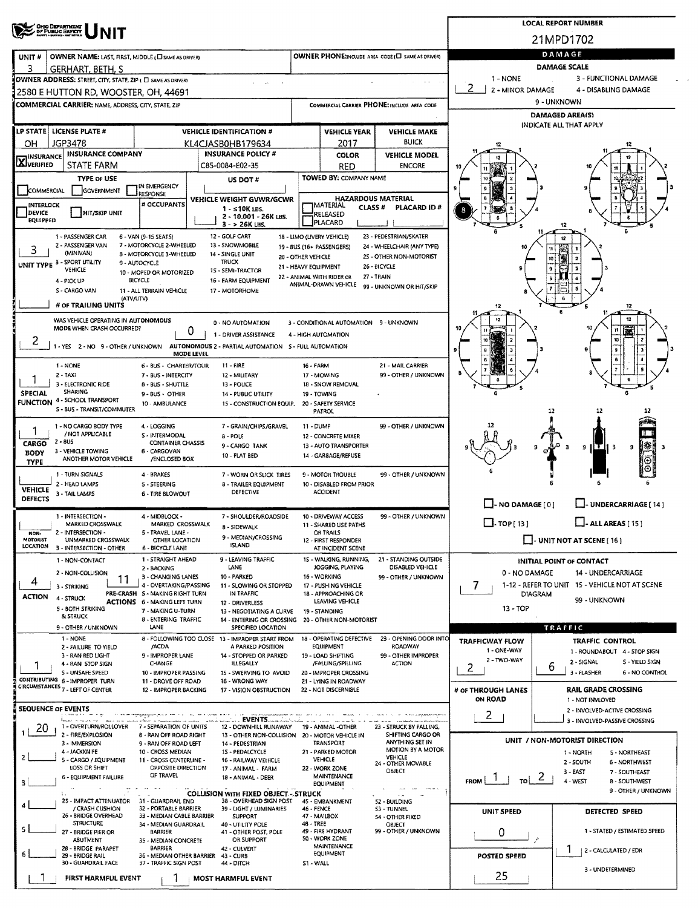|                                        | ' Ohio Department<br>, of Public Bayety                                                     |                                                             |                                                                                          |                                            |                                                 |                                                   |                                                                | <b>LOCAL REPORT NUMBER</b>                                |  |  |  |  |  |
|----------------------------------------|---------------------------------------------------------------------------------------------|-------------------------------------------------------------|------------------------------------------------------------------------------------------|--------------------------------------------|-------------------------------------------------|---------------------------------------------------|----------------------------------------------------------------|-----------------------------------------------------------|--|--|--|--|--|
|                                        |                                                                                             |                                                             |                                                                                          |                                            |                                                 |                                                   |                                                                | 21MPD1702                                                 |  |  |  |  |  |
| UNIT#                                  | OWNER NAME: LAST, FIRST, MIDDLE (CI SAME AS DRIVER)                                         |                                                             |                                                                                          |                                            |                                                 | OWNER PHONE:INCLUDE AREA CODE (L) SAME AS DRIVER) |                                                                | DAMAGE                                                    |  |  |  |  |  |
| 3                                      | GERHART. BETH. S                                                                            |                                                             |                                                                                          |                                            |                                                 |                                                   |                                                                | <b>DAMAGE SCALE</b>                                       |  |  |  |  |  |
|                                        | OWNER ADDRESS: STREET, CITY, STATE, ZIP ( C SAME AS DRIVER)                                 |                                                             |                                                                                          |                                            |                                                 |                                                   | 1 - NONE<br>2 - MINOR DAMAGE                                   | 3 - FUNCTIONAL DAMAGE<br>4 - DISABLING DAMAGE             |  |  |  |  |  |
|                                        | 2580 E HUTTON RD, WOOSTER, OH, 44691<br>COMMERCIAL CARRIER: NAME, ADDRESS, CITY, STATE, ZIP |                                                             |                                                                                          |                                            |                                                 | COMMERCIAL CARRIER PHONE: INCLUDE AREA CODE       |                                                                | 9 - UNKNOWN                                               |  |  |  |  |  |
|                                        |                                                                                             |                                                             |                                                                                          |                                            |                                                 |                                                   |                                                                | DAMAGED AREA(S)                                           |  |  |  |  |  |
|                                        | LP STATE   LICENSE PLATE #                                                                  |                                                             | <b>VEHICLE IDENTIFICATION #</b>                                                          |                                            | <b>VEHICLE YEAR</b>                             | <b>VEHICLE MAKE</b>                               |                                                                | INDICATE ALL THAT APPLY                                   |  |  |  |  |  |
| OН                                     | JGP3478                                                                                     |                                                             | KL4CJASB0HB179634                                                                        |                                            | 2017                                            | <b>BUICK</b>                                      |                                                                |                                                           |  |  |  |  |  |
| <b>TINSURANCE</b><br><b>AJVERIFIED</b> | <b>INSURANCE COMPANY</b>                                                                    |                                                             | <b>INSURANCE POLICY #</b>                                                                |                                            | <b>COLOR</b>                                    | <b>VEHICLE MODEL</b>                              |                                                                |                                                           |  |  |  |  |  |
|                                        | STATE FARM<br><b>TYPE OF USE</b>                                                            |                                                             | C85-0084-E02-35<br>US DOT #                                                              |                                            | RED<br><b>TOWED BY: COMPANY NAME</b>            | <b>ENCORE</b>                                     |                                                                |                                                           |  |  |  |  |  |
| COMMERCIAL                             | <b>GOVERNMENT</b>                                                                           | IN EMERGENCY<br>RESPONSE                                    |                                                                                          |                                            |                                                 |                                                   |                                                                |                                                           |  |  |  |  |  |
| INTERLOCK                              |                                                                                             | # OCCUPANTS                                                 | VEHICLE WEIGHT GVWR/GCWR<br>$1 - 510K$ LBS.                                              |                                            | IMATERIAL<br><b>CLASS #</b>                     | <b>HAZARDOUS MATERIAL</b><br>PLACARD ID#          | 8                                                              |                                                           |  |  |  |  |  |
| DEVICE<br><b>EQUIPPED</b>              | <b>HIT/SKIP UNIT</b>                                                                        |                                                             | 2 - 10.001 - 26K LBS.<br>$3 - 26K$ LBS.                                                  |                                            | RELEASED<br>PLACARD                             |                                                   |                                                                |                                                           |  |  |  |  |  |
|                                        | 1 - PASSENGER CAR                                                                           | 6 - VAN (9-15 SEATS)                                        | 12 GOLF CART                                                                             |                                            | 18 - LIMO (LIVERY VEHICLE)                      | 23 - PEDESTRIAN/SKATER                            |                                                                | 12<br>$t_{2}$                                             |  |  |  |  |  |
| 3                                      | 2 - PASSENGER VAN<br>(MINIVAN)                                                              | 7 - MOTORCYCLE 2-WHEELED<br><b>8 - MOTORCYCLE 3-WHEELED</b> | 13 - SNOWMOBILE<br>14 - SINGLE UNIT                                                      |                                            | 19 - BUS (16+ PASSENGERS)                       | 24 - WHEELCHAIR (ANY TYPE)                        |                                                                |                                                           |  |  |  |  |  |
|                                        | UNIT TYPE 3 - SPORT UTILITY                                                                 | 9 - AUTOCYCLE                                               | <b>TRUCK</b>                                                                             | 20 - OTHER VEHICLE<br>21 - HEAVY EQUIPMENT |                                                 | 25 - OTHER NON-MOTORIST<br>26 - BICYCLE           |                                                                |                                                           |  |  |  |  |  |
|                                        | <b>VEHICLE</b><br>4 - PICK UP                                                               | 10 - MOPED OR MOTORIZED<br><b>BICYCLE</b>                   | 1S - SEMI-TRACTOR<br>16 - FARM EQUIPMENT                                                 |                                            | 22 - ANIMAL WITH RIDER OR                       | 27 - TRAIN                                        |                                                                |                                                           |  |  |  |  |  |
|                                        | S - CARGO VAN<br>(ATV/UTV)                                                                  | 11 - ALL TERRAIN VEHICLE                                    | 17 - MOTORHOME                                                                           |                                            | ANIMAL-DRAWN VEHICLE                            | 99 - UNKNOWN OR HIT/SKIP                          |                                                                |                                                           |  |  |  |  |  |
|                                        | # OF TRAILING UNITS                                                                         |                                                             |                                                                                          |                                            |                                                 |                                                   | 12                                                             | 12                                                        |  |  |  |  |  |
|                                        | WAS VEHICLE OPERATING IN AUTONOMOUS<br>MODE WHEN CRASH OCCURRED?                            |                                                             | 0 - NO AUTOMATION                                                                        |                                            | 3 - CONDITIONAL AUTOMATION 9 - UNKNOWN          |                                                   |                                                                |                                                           |  |  |  |  |  |
| $\mathbf{z}$                           |                                                                                             |                                                             | 1 - DRIVER ASSISTANCE                                                                    |                                            | 4 - HIGH AUTOMATION                             |                                                   |                                                                |                                                           |  |  |  |  |  |
|                                        |                                                                                             | MODE LEVEL                                                  | 1 - YES 2 - NO 9 - OTHER / UNKNOWN AUTONOMOUS 2 - PARTIAL AUTOMATION 5 - FULL AUTOMATION |                                            |                                                 |                                                   |                                                                |                                                           |  |  |  |  |  |
|                                        | 1 - NONE                                                                                    | 6 - BUS - CHARTER/TOUR                                      | 11 - FIRE                                                                                | 16 - FARM                                  |                                                 | 21 - MAIL CARRIER                                 |                                                                |                                                           |  |  |  |  |  |
|                                        | 2 - TAXI<br>3 - ELECTRONIC RIDE                                                             | 7 - BUS - INTERCITY<br><b>B-BUS-SHUTTLE</b>                 | 12 - MILITARY<br>13 - POLICE                                                             |                                            | 17 - MOWING<br>18 - SNOW REMOVAL                | 99 - OTHER / UNKNOWN                              |                                                                |                                                           |  |  |  |  |  |
| <b>SPECIAL</b>                         | <b>SHARING</b><br><b>FUNCTION 4 - SCHOOL TRANSPORT</b>                                      | 9-BUS - OTHER                                               | 14 - PUBLIC UTILITY                                                                      |                                            | 19 - TOWING                                     |                                                   |                                                                | s                                                         |  |  |  |  |  |
|                                        | S - BUS - TRANSIT/COMMUTER                                                                  | 10 - AMBULANCE                                              | 15 - CONSTRUCTION EQUIP. 20 - SAFETY SERVICE                                             |                                            | <b>PATROL</b>                                   |                                                   |                                                                | 12                                                        |  |  |  |  |  |
| 1                                      | 1 - NO CARGO BODY TYPE                                                                      | 4 - LOGGING                                                 | 7 - GRAIN/CHIPS/GRAVEL                                                                   | <b>11 - DUMP</b>                           |                                                 | 99 - OTHER / UNKNOWN                              |                                                                |                                                           |  |  |  |  |  |
| CARGO                                  | / NOT APPLICABLE<br>$2 - 8US$                                                               | <b>S - INTERMODAL</b><br><b>CONTAINER CHASSIS</b>           | 8 - POLE<br>9 - CARGO TANK                                                               |                                            | 12 - CONCRETE MIXER<br>13 - AUTO TRANSPORTER    |                                                   |                                                                | ∦*<br>в<br>I€.                                            |  |  |  |  |  |
| BODY                                   | 3 - VEHICLE TOWING<br>ANOTHER MOTOR VEHICLE                                                 | 6 - CARGOVAN<br>/ENCLOSED BOX                               | 10 - FLAT BED                                                                            |                                            | 14 - GARBAGE/REFUSE                             |                                                   |                                                                | 9<br>9<br>з<br>$\overline{\odot}$                         |  |  |  |  |  |
| <b>TYPE</b>                            | 1 - TURN SIGNALS                                                                            | 4 - BRAKES                                                  | 7 - WORN OR SLICK TIRES                                                                  |                                            | 9 - MOTOR TROUBLE                               | 99 - OTHER / UNKNOWN                              |                                                                |                                                           |  |  |  |  |  |
| <b>VEHICLE</b>                         | 2 - HEAD LAMPS                                                                              | 5 - STEERING                                                | <b>8 - TRAILER EQUIPMENT</b>                                                             |                                            | 10 - DISABLED FROM PRIOR                        |                                                   |                                                                |                                                           |  |  |  |  |  |
| DEFECTS                                | 3 - TAIL LAMPS                                                                              | 6 - TIRE BLOWOUT                                            | DEFECTIVE                                                                                |                                            | <b>ACCIDENT</b>                                 |                                                   | $\Box$ - NO DAMAGE $[0]$                                       | - UNDERCARRIAGE [ 14 ]                                    |  |  |  |  |  |
|                                        | 1 - INTERSECTION -                                                                          | 4 - MIDBLOCK -                                              | 7 - SHOULDER/ROADSIDE                                                                    |                                            | 10 - DRIVEWAY ACCESS                            | 99 - OTHER / UNKNOWN                              |                                                                |                                                           |  |  |  |  |  |
| NON-                                   | <b>MARKED CROSSWALK</b><br>2 - INTERSECTION -                                               | MARKED CROSSWALK<br>5 - TRAVEL LANE -                       | 8 - SIDEWALK                                                                             |                                            | 11 - SHARED USE PATHS<br>OR TRAILS              |                                                   | $\Box$ TOP [ 13 ]                                              | $\Box$ - ALL AREAS [ 15 ]                                 |  |  |  |  |  |
| <b>MOTORIST</b><br><b>LOCATION</b>     | UNMARKED CROSSWALK<br>3 - INTERSECTION - OTHER                                              | OTHER LOCATION<br><b>6 - BICYCLE LANE</b>                   | 9 - MEDIAN/CROSSING<br><b>ISLAND</b>                                                     |                                            | 12 - FIRST RESPONDER<br>AT INCIDENT SCENE       |                                                   | $\Box$ - UNIT NOT AT SCENE [ 16 ]                              |                                                           |  |  |  |  |  |
|                                        | 1 - NON-CONTACT                                                                             | 1 - STRAIGHT AHEAD                                          | 9 - LEAVING TRAFFIC                                                                      |                                            | 15 - WALKING, RUNNING,                          | 21 - STANDING OUTSIDE                             |                                                                | INITIAL POINT OF CONTACT                                  |  |  |  |  |  |
|                                        | 2 - NON-COLLISION<br>11                                                                     | 2 - BACKING<br>3 - CHANGING LANES                           | LANE<br>10 - PARKED                                                                      |                                            | JOGGING, PLAYING<br>16 - WORKING                | DISABLED VEHICLE<br>99 - OTHER / UNKNOWN          | 0 - NO DAMAGE                                                  | 14 - UNDERCARRIAGE                                        |  |  |  |  |  |
| 4                                      | 3 - STRIKING                                                                                | 4 - OVERTAKING/PASSING<br>PRE-CRASH S - MAKING RIGHT TURN   | 11 - SLOWING OR STOPPED<br>IN TRAFFIC                                                    |                                            | 17 - PUSHING VEHICLE<br>18 - APPROACHING OR     |                                                   | 1-12 - REFER TO UNIT 15 - VEHICLE NOT AT SCENE<br>7<br>DIAGRAM |                                                           |  |  |  |  |  |
| <b>ACTION</b>                          | 4 - STRUCK<br>5 - BOTH STRIKING                                                             | <b>ACTIONS 6 - MAKING LEFT TURN</b>                         | 12 - DRIVERLESS                                                                          |                                            | LEAVING VEHICLE                                 |                                                   | 99 - UNKNOWN<br>13 - TOP                                       |                                                           |  |  |  |  |  |
|                                        | & STRUCK                                                                                    | 7 - MAKING U-TURN<br><b>8 - ENTERING TRAFFIC</b>            | 13 - NEGOTIATING A CURVE<br>14 - ENTERING OR CROSSING 20 - OTHER NON-MOTORIST            |                                            | 19 - STANDING                                   |                                                   |                                                                |                                                           |  |  |  |  |  |
|                                        | 9 - OTHER / UNKNOWN<br>1 NONE                                                               | LANE                                                        | SPECIFIED LOCATION<br>8 - FOLLOWING TOO CLOSE 13 - IMPROPER START FROM                   |                                            | 18 - OPERATING DEFECTIVE                        | 23 - OPENING DOOR INTO                            |                                                                | TRAFFIC                                                   |  |  |  |  |  |
|                                        | 2 - FAILURE TO YIELD                                                                        | /ACDA<br>9 - IMPROPER LANE                                  | A PARKED POSITION<br>14 - STOPPED OR PARKED                                              |                                            | <b>EQUIPMENT</b>                                | ROADWAY                                           | <b>TRAFFICWAY FLOW</b><br>1 - ONE-WAY                          | <b>TRAFFIC CONTROL</b><br>1 - ROUNDABOUT 4 - STOP SIGN    |  |  |  |  |  |
|                                        | 3 - RAN RED LIGHT<br>4 - RAN STOP SIGN                                                      | CHANGE                                                      | ILLEGALLY                                                                                |                                            | 19 - LOAD SHIFTING<br>/FALUNG/SPILLING          | 99 - OTHER IMPROPER<br><b>ACTION</b>              | 2 - TWO-WAY<br>$\overline{2}$                                  | 2 - SIGNAL<br>S - YIELD SIGN<br>6                         |  |  |  |  |  |
|                                        | S - UNSAFE SPEED<br>CONTRIBUTING 6 - IMPROPER TURN                                          | 10 - IMPROPER PASSING<br>11 - DROVE OFF ROAD                | 15 - SWERVING TO AVOID<br>16 - WRONG WAY                                                 |                                            | 20 - IMPROPER CROSSING<br>21 - LYING IN ROADWAY |                                                   |                                                                | 3 - FLASHER<br>6 - NO CONTROL                             |  |  |  |  |  |
|                                        | CIRCUMSTANCES 7 - LEFT OF CENTER                                                            | 12 - IMPROPER BACKING                                       | 17 - VISION OBSTRUCTION                                                                  |                                            | 22 - NOT DISCERNIBLE                            |                                                   | # OF THROUGH LANES<br><b>ON ROAD</b>                           | <b>RAIL GRADE CROSSING</b><br>1 - NOT INVLOVED            |  |  |  |  |  |
|                                        | <b>SEQUENCE OF EVENTS</b>                                                                   |                                                             |                                                                                          |                                            |                                                 |                                                   | 2                                                              | 2 - INVOLVED-ACTIVE CROSSING                              |  |  |  |  |  |
| 20                                     | 1 - OVERTURN/ROLLOVER                                                                       | 7 - SEPARATION OF UNITS                                     | <b>LEVENTS</b><br>12 - DOWNHILL RUNAWAY                                                  |                                            | 19 - ANIMAL -OTHER                              | 23 - STRUCK BY FALLING,                           |                                                                | 3 - INVOLVED-PASSIVE CROSSING                             |  |  |  |  |  |
|                                        | 2 - FIRE/EXPLOSION<br>3 - IMMERSION                                                         | 8 - RAN OFF ROAD RIGHT<br>9 - RAN OFF ROAD LEFT             | 13 - OTHER NON-COLLISION 20 - MOTOR VEHICLE IN<br>14 - PEDESTRIAN                        |                                            | <b>TRANSPORT</b>                                | SHIFTING CARGO OR<br>ANYTHING SET IN              |                                                                | UNIT / NON-MOTORIST DIRECTION                             |  |  |  |  |  |
| 2                                      | 4 - JACKKNIFE                                                                               | 10 - CROSS MEDIAN                                           | 15 - PEDALCYCLE                                                                          |                                            | 21 - PARKED MOTOR                               | <b>MOTION BY A MOTOR</b><br>VEHICLE               |                                                                | 1 - NORTH<br>5 - NORTHEAST                                |  |  |  |  |  |
|                                        | 5 - CARGO / EQUIPMENT<br>LOSS OR SHIFT                                                      | 11 - CROSS CENTERLINE -<br>OPPOSITE DIRECTION               | 16 - RAILWAY VEHICLE<br>17 - ANIMAL - FARM                                               |                                            | <b>VEHICLE</b><br>22 - WORK ZONE                | 24 - OTHER MOVABLE<br><b>OBJECT</b>               |                                                                | 2 - SOUTH<br>6 - NORTHWEST<br>$3 - EAST$<br>7 - SOUTHEAST |  |  |  |  |  |
| 3                                      | 6 - EQUIPMENT FAILURE                                                                       | OF TRAVEL                                                   | 18 - ANIMAL - DEER                                                                       |                                            | <b>MAINTENANCE</b><br><b>EQUIPMENT</b>          |                                                   | <b>FROM</b>                                                    | $\mathcal{L}$<br>4 - WEST<br><b>B-SOUTHWEST</b>           |  |  |  |  |  |
|                                        | 25 - IMPACT ATTENUATOR 31 - GUARDRAIL END                                                   |                                                             | <b>COLLISION WITH FIXED OBJECT - STRUCK</b><br>38 - OVERHEAD SIGN POST                   |                                            | 45 - EMBANKMENT                                 | $\sim$ $\sim$<br>52 - BUILDING                    |                                                                | 9 - OTHER / UNKNOWN                                       |  |  |  |  |  |
|                                        | / CRASH CUSHION<br>26 - BRIDGE OVERHEAD                                                     | 32 - PORTABLE BARRIER<br>33 - MEDIAN CABLE BARRIER          | 39 - LIGHT / LUMINARIES<br><b>SUPPORT</b>                                                | 46 - FENCE                                 | 47 - MAILBOX                                    | S3 - TUNNEL<br>54 - OTHER FIXED                   | UNIT SPEED                                                     | DETECTED SPEED                                            |  |  |  |  |  |
| 5                                      | <b>STRUCTURE</b>                                                                            | 34 - MEDIAN GUARDRAIL                                       | 40 - UTILITY POLE                                                                        | 48 - TREE                                  | 49 - FIRE HYDRANT                               | <b>OBJECT</b><br>99 - OTHER / UNKNOWN             |                                                                | 1 - STATED / ESTIMATED SPEED                              |  |  |  |  |  |
|                                        | 27 - BRIDGE PIER OR<br>ABUTMENT                                                             | <b>BARRIER</b><br>35 - MEDIAN CONCRETE                      | 41 - OTHER POST, POLE<br>OR SUPPORT                                                      |                                            | 50 - WORK ZONE                                  |                                                   | 0                                                              | يتوا                                                      |  |  |  |  |  |
| 6                                      | 28 - BRIDGE PARAPET<br>29 - BRIDGE RAIL                                                     | <b>BARRIER</b><br>36 - MEDIAN OTHER BARRIER                 | 42 - CULVERT<br>43 - CURB                                                                |                                            | MAINTENANCE<br>EQUIPMENT                        |                                                   | <b>POSTED SPEED</b>                                            | ı<br>  2 - CALCULATED / EDR                               |  |  |  |  |  |
|                                        | 30 - GUARDRAIL FACE                                                                         | 37 - TRAFFIC SIGN POST                                      | 44 - DITCH                                                                               | S1 - WALL                                  |                                                 |                                                   |                                                                | 3 - UNDETERMINED                                          |  |  |  |  |  |
|                                        | FIRST HARMFUL EVENT                                                                         |                                                             | <b>MOST HARMFUL EVENT</b>                                                                |                                            |                                                 |                                                   | 25                                                             |                                                           |  |  |  |  |  |